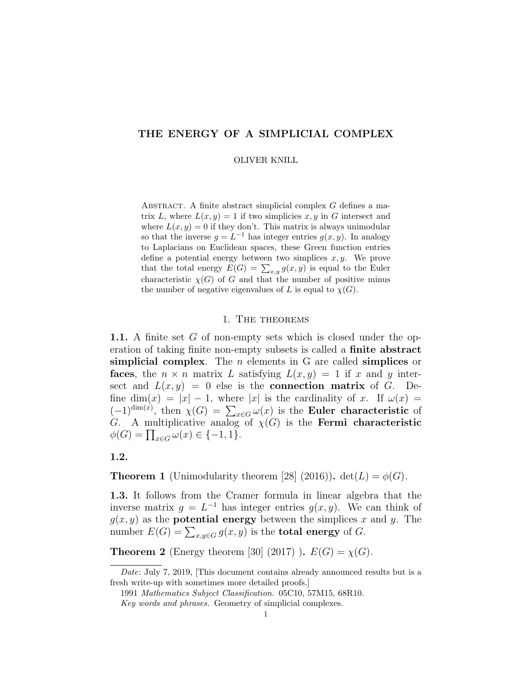# THE ENERGY OF A SIMPLICIAL COMPLEX

#### OLIVER KNILL

ABSTRACT. A finite abstract simplicial complex  $G$  defines a matrix L, where  $L(x, y) = 1$  if two simplicies x, y in G intersect and where  $L(x, y) = 0$  if they don't. This matrix is always unimodular so that the inverse  $g = L^{-1}$  has integer entries  $g(x, y)$ . In analogy to Laplacians on Euclidean spaces, these Green function entries define a potential energy between two simplices  $x, y$ . We prove that the total energy  $E(G) = \sum_{x,y} g(x,y)$  is equal to the Euler characteristic  $\chi(G)$  of G and that the number of positive minus the number of negative eigenvalues of L is equal to  $\chi(G)$ .

### 1. The theorems

1.1. A finite set G of non-empty sets which is closed under the operation of taking finite non-empty subsets is called a finite abstract simplicial complex. The  $n$  elements in G are called simplices or faces, the  $n \times n$  matrix L satisfying  $L(x, y) = 1$  if x and y intersect and  $L(x, y) = 0$  else is the **connection matrix** of G. Define dim(x) =  $|x| - 1$ , where |x| is the cardinality of x. If  $\omega(x)$  =  $(-1)^{\dim(x)}$ , then  $\chi(G) = \sum_{x \in G} \omega(x)$  is the **Euler characteristic** of G. A multiplicative analog of  $\chi(G)$  is the **Fermi characteristic**  $\phi(G) = \prod_{x \in G} \omega(x) \in \{-1, 1\}.$ 

### 1.2.

**Theorem 1** (Unimodularity theorem [28] (2016)).  $det(L) = \phi(G)$ .

1.3. It follows from the Cramer formula in linear algebra that the inverse matrix  $g = L^{-1}$  has integer entries  $g(x, y)$ . We can think of  $g(x, y)$  as the **potential energy** between the simplices x and y. The number  $E(G) = \sum_{x,y \in G} g(x,y)$  is the **total energy** of G.

**Theorem 2** (Energy theorem [30] (2017)).  $E(G) = \chi(G)$ .

Date: July 7, 2019, [This document contains already announced results but is a fresh write-up with sometimes more detailed proofs.]

<sup>1991</sup> Mathematics Subject Classification. 05C10, 57M15, 68R10.

Key words and phrases. Geometry of simplicial complexes.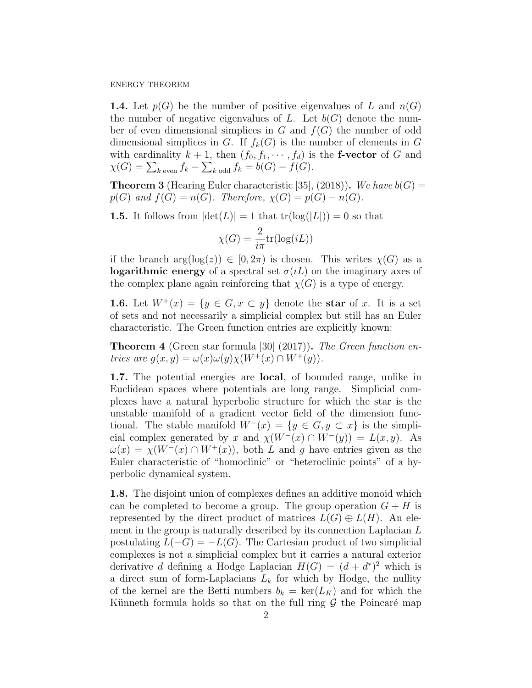**1.4.** Let  $p(G)$  be the number of positive eigenvalues of L and  $n(G)$ the number of negative eigenvalues of L. Let  $b(G)$  denote the number of even dimensional simplices in  $G$  and  $f(G)$  the number of odd dimensional simplices in G. If  $f_k(G)$  is the number of elements in G with cardinality  $k + 1$ , then  $(f_0, f_1, \dots, f_d)$  is the **f-vector** of G and  $\chi(G) = \sum_{k \text{ even}} f_k - \sum_{k \text{ odd}} f_k = b(G) - f(G).$ 

**Theorem 3** (Hearing Euler characteristic [35], (2018)). We have  $b(G)$  =  $p(G)$  and  $f(G) = n(G)$ . Therefore,  $\chi(G) = p(G) - n(G)$ .

**1.5.** It follows from  $|\det(L)| = 1$  that  $tr(\log(|L|)) = 0$  so that

$$
\chi(G) = \frac{2}{i\pi} \text{tr}(\log(iL))
$$

if the branch  $arg(log(z)) \in [0, 2\pi)$  is chosen. This writes  $\chi(G)$  as a **logarithmic energy** of a spectral set  $\sigma(iL)$  on the imaginary axes of the complex plane again reinforcing that  $\chi(G)$  is a type of energy.

**1.6.** Let  $W^+(x) = \{y \in G, x \subset y\}$  denote the star of x. It is a set of sets and not necessarily a simplicial complex but still has an Euler characteristic. The Green function entries are explicitly known:

**Theorem 4** (Green star formula [30] (2017)). The Green function entries are  $g(x, y) = \omega(x)\omega(y)\chi(W^+(x) \cap W^+(y)).$ 

1.7. The potential energies are local, of bounded range, unlike in Euclidean spaces where potentials are long range. Simplicial complexes have a natural hyperbolic structure for which the star is the unstable manifold of a gradient vector field of the dimension functional. The stable manifold  $W^-(x) = \{y \in G, y \subset x\}$  is the simplicial complex generated by x and  $\chi(W^-(x) \cap W^-(y)) = L(x, y)$ . As  $\omega(x) = \chi(W^-(x) \cap W^+(x))$ , both L and q have entries given as the Euler characteristic of "homoclinic" or "heteroclinic points" of a hyperbolic dynamical system.

1.8. The disjoint union of complexes defines an additive monoid which can be completed to become a group. The group operation  $G + H$  is represented by the direct product of matrices  $L(G) \oplus L(H)$ . An element in the group is naturally described by its connection Laplacian L postulating  $L(-G) = -L(G)$ . The Cartesian product of two simplicial complexes is not a simplicial complex but it carries a natural exterior derivative d defining a Hodge Laplacian  $H(G) = (d + d^*)^2$  which is a direct sum of form-Laplacians  $L_k$  for which by Hodge, the nullity of the kernel are the Betti numbers  $b_k = \text{ker}(L_K)$  and for which the Künneth formula holds so that on the full ring  $\mathcal G$  the Poincaré map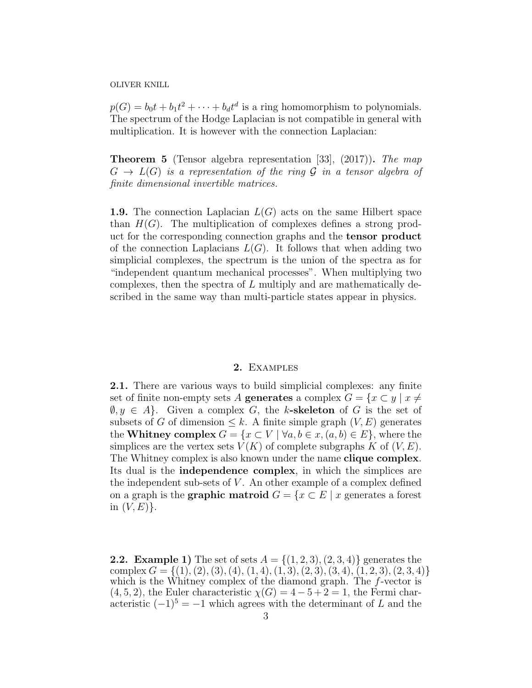$p(G) = b_0 t + b_1 t^2 + \dots + b_d t^d$  is a ring homomorphism to polynomials. The spectrum of the Hodge Laplacian is not compatible in general with multiplication. It is however with the connection Laplacian:

Theorem 5 (Tensor algebra representation [33], (2017)). The map  $G \to L(G)$  is a representation of the ring G in a tensor algebra of finite dimensional invertible matrices.

**1.9.** The connection Laplacian  $L(G)$  acts on the same Hilbert space than  $H(G)$ . The multiplication of complexes defines a strong product for the corresponding connection graphs and the tensor product of the connection Laplacians  $L(G)$ . It follows that when adding two simplicial complexes, the spectrum is the union of the spectra as for "independent quantum mechanical processes". When multiplying two complexes, then the spectra of L multiply and are mathematically described in the same way than multi-particle states appear in physics.

### 2. Examples

2.1. There are various ways to build simplicial complexes: any finite set of finite non-empty sets A generates a complex  $G = \{x \subset y \mid x \neq 0\}$  $\emptyset, y \in A$ . Given a complex G, the k-skeleton of G is the set of subsets of G of dimension  $\leq k$ . A finite simple graph  $(V, E)$  generates the Whitney complex  $G = \{x \subset V \mid \forall a, b \in x, (a, b) \in E\}$ , where the simplices are the vertex sets  $V(K)$  of complete subgraphs K of  $(V, E)$ . The Whitney complex is also known under the name **clique complex**. Its dual is the independence complex, in which the simplices are the independent sub-sets of  $V$ . An other example of a complex defined on a graph is the **graphic matroid**  $G = \{x \in E \mid x \text{ generates a forest}\}$ in  $(V, E)$ .

**2.2.** Example 1) The set of sets  $A = \{(1, 2, 3), (2, 3, 4)\}\$ generates the complex  $G = \{(1), (2), (3), (4), (1, 4), (1, 3), (2, 3), (3, 4), (1, 2, 3), (2, 3, 4)\}\$ which is the Whitney complex of the diamond graph. The f-vector is  $(4, 5, 2)$ , the Euler characteristic  $\chi(G) = 4 - 5 + 2 = 1$ , the Fermi characteristic  $(-1)^5 = -1$  which agrees with the determinant of L and the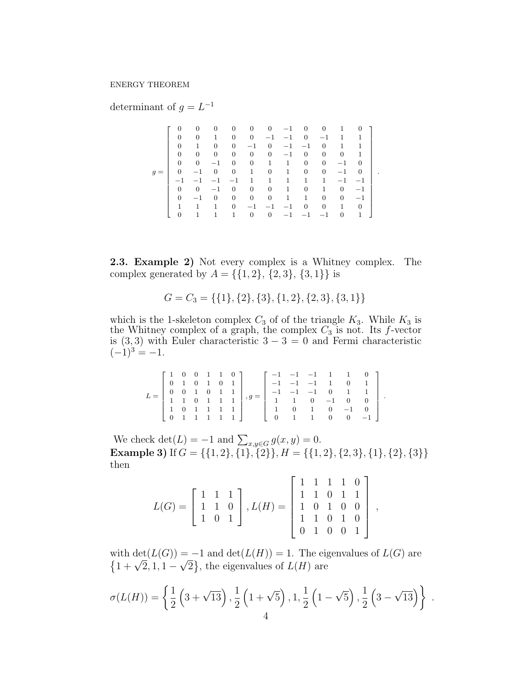determinant of  $g = L^{-1}$ 

|       |                | 0        | $\mathbf{0}$   | 0              | $\overline{0}$ | $\overline{0}$ | $-1$         | $\mathbf{0}$   | 0                | 1            | 0              |
|-------|----------------|----------|----------------|----------------|----------------|----------------|--------------|----------------|------------------|--------------|----------------|
|       | $\Omega$       | $\Omega$ |                | $\overline{0}$ | $\overline{0}$ | $-1$           | $-1$         | $\overline{0}$ | $-1$             | $\mathbf{1}$ | 1              |
|       | $\Omega$       |          | $\overline{0}$ | $\overline{0}$ | $^{-1}$        | $\overline{0}$ | $-1$         | $-1$           | $\mathbf{0}$     | $\mathbf{1}$ | 1              |
|       | $\Omega$       | $\theta$ | $\overline{0}$ | $\overline{0}$ | $\overline{0}$ | $\overline{0}$ | $-1$         | $\mathbf{0}$   | $\overline{0}$   | $\mathbf{0}$ | $\mathbf{1}$   |
|       | $\Omega$       | $\Omega$ | $-1$           | $\theta$       | $\overline{0}$ | $\mathbf{1}$   | $\mathbf{1}$ | $\overline{0}$ | $\overline{0}$   | $-1$         | $\theta$       |
| $g =$ | $\overline{0}$ | $-1$     | $\mathbf{0}$   | $\overline{0}$ | $\mathbf{1}$   | $\overline{0}$ | $\mathbf{1}$ | $\mathbf{0}$   | $\boldsymbol{0}$ | $-1$         | $\mathbf{0}$   |
|       | $-1$           | $-1$     | $-1$           | $^{-1}$        | 1              | $\mathbf{1}$   | $\mathbf{1}$ | 1              | 1                | $-1$         | $-1$           |
|       | 0              | $\Omega$ | $^{-1}$        | $\theta$       | $\overline{0}$ | $\overline{0}$ | $\mathbf{1}$ | $\overline{0}$ | $\mathbf{1}$     | $\mathbf{0}$ | $-1$           |
|       | $\Omega$       | $^{-1}$  | $\overline{0}$ | $\mathbf{0}$   | $\overline{0}$ | $\overline{0}$ | $\mathbf{1}$ | 1              | $\overline{0}$   | $\mathbf{0}$ | $-1$           |
|       | 1              |          | 1              | $\overline{0}$ | $-1$           | $-1$           | $^{-1}$      | $\overline{0}$ | 0                | $\mathbf{1}$ | $\overline{0}$ |
|       | $\Omega$       |          |                | 1              | $\overline{0}$ | $\Omega$       | $-1$         | $-1$           | $-1$             | $\mathbf{0}$ | $\mathbf{1}$   |

.

2.3. Example 2) Not every complex is a Whitney complex. The complex generated by  $A = \{\{1, 2\}, \{2, 3\}, \{3, 1\}\}\$ is

$$
G = C_3 = \{ \{1\}, \{2\}, \{3\}, \{1, 2\}, \{2, 3\}, \{3, 1\} \}
$$

which is the 1-skeleton complex  $C_3$  of of the triangle  $K_3$ . While  $K_3$  is the Whitney complex of a graph, the complex  $C_3$  is not. Its f-vector is  $(3,3)$  with Euler characteristic  $3-3=0$  and Fermi characteristic  $(-1)^3 = -1.$ 

| 1 1 0 0 1 1 0                                                                                |  |  |  | $\begin{bmatrix} -1 & -1 & -1 & 1 & 1 & 0 \end{bmatrix}$              |  |                                              |  |
|----------------------------------------------------------------------------------------------|--|--|--|-----------------------------------------------------------------------|--|----------------------------------------------|--|
|                                                                                              |  |  |  | $-1$ $-1$ $-1$ 1 0 1                                                  |  |                                              |  |
| $\begin{array}{ cccccccccccc }\n0 & 0 & 1 & 0 & 1 & 1 \\ 1 & 1 & 0 & 1 & 1 & 1\n\end{array}$ |  |  |  |                                                                       |  | $-1$ $-1$ $-1$ 0 1 1                         |  |
|                                                                                              |  |  |  |                                                                       |  | $1 \quad 1 \quad 0 \quad -1 \quad 0 \quad 0$ |  |
| 1 0 1 1 1 1                                                                                  |  |  |  | $1 \t 0 \t 1 \t 0 \t -1 \t 0$                                         |  |                                              |  |
|                                                                                              |  |  |  | $\begin{array}{ccccccccc} \n & 0 & 1 & 1 & 0 & 0 & -1 \n \end{array}$ |  |                                              |  |

We check  $\det(L) = -1$  and  $\sum_{x,y \in G} g(x,y) = 0$ . **Example 3)** If  $G = \{\{1, 2\}, \{1\}, \{2\}\}, H = \{\{1, 2\}, \{2, 3\}, \{1\}, \{2\}, \{3\}\}\$ then

| $L(G) = \begin{bmatrix} 1 & 1 & 1 \\ 1 & 1 & 0 \\ 1 & 0 & 1 \end{bmatrix}$ , $L(H) = \begin{bmatrix} 1 & 1 & 1 & 1 & 0 \\ 1 & 1 & 0 & 1 & 1 \\ 1 & 0 & 1 & 0 & 0 \\ 1 & 1 & 0 & 1 & 0 \\ 0 & 1 & 0 & 0 & 1 \end{bmatrix}$ |  |
|---------------------------------------------------------------------------------------------------------------------------------------------------------------------------------------------------------------------------|--|

with  $\det(L(G)) = -1$  and  $\det(L(H)) = 1$ . The eigenvalues of  $L(G)$  are with  $\det(L(G)) = -1$  and  $\det(L(H)) = 1$ . The eightarrow  $\{1 + \sqrt{2}, 1, 1 - \sqrt{2}\}$ , the eigenvalues of  $L(H)$  are

$$
\sigma(L(H)) = \left\{ \frac{1}{2} \left( 3 + \sqrt{13} \right), \frac{1}{2} \left( 1 + \sqrt{5} \right), 1, \frac{1}{2} \left( 1 - \sqrt{5} \right), \frac{1}{2} \left( 3 - \sqrt{13} \right) \right\} .
$$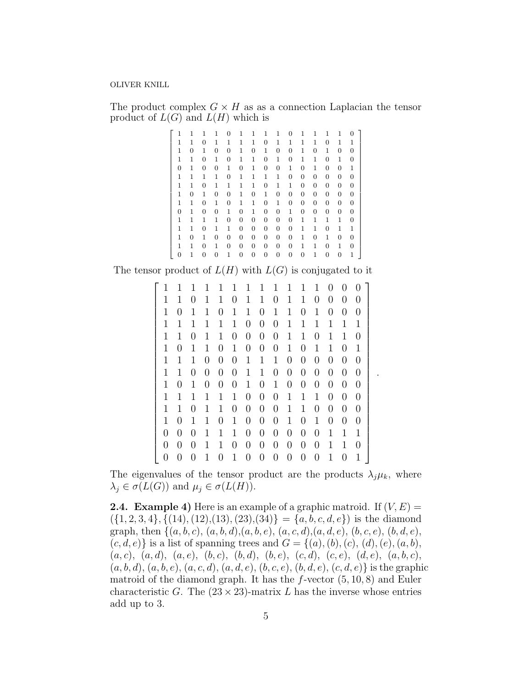The product complex  $G \times H$  as as a connection Laplacian the tensor product of  $L(G)$  and  $L(H)$  which is

|   | 1            | 1                | 1 | $\theta$ | 1 | 1 | 1 | 1 | $\theta$ | 1              | 1 | 1              | 1 | $^{\circ}$ |  |
|---|--------------|------------------|---|----------|---|---|---|---|----------|----------------|---|----------------|---|------------|--|
| 1 | 1            | $\Omega$         | 1 | 1        | 1 | 1 | 0 | 1 | 1        | 1              | 1 | 0              | 1 | 1          |  |
| 1 | 0            | 1                | 0 | 0        | 1 | 0 | 1 | 0 | 0        | 1              | 0 | 1              | 0 | 0          |  |
| 1 | 1            | 0                | 1 | 0        | 1 | 1 | 0 | 1 | 0        | 1              | 1 | 0              | 1 | 0          |  |
| 0 | 1            | 0                | 0 | 1        | 0 | 1 | 0 | 0 | 1        | 0              | 1 | $\overline{0}$ | 0 | 1          |  |
| 1 | 1            | 1                | 1 | 0        | 1 | 1 | 1 | 1 | 0        | 0              | 0 | $\theta$       | 0 | 0          |  |
| 1 | $\mathbf{1}$ | 0                | 1 | 1        | 1 | 1 | 0 | 1 | 1        | 0              | 0 | 0              | 0 | 0          |  |
| 1 | 0            | 1                | 0 | 0        | 1 | 0 | 1 | 0 | 0        | $\overline{0}$ | 0 | 0              | 0 | 0          |  |
| 1 | 1            | 0                | 1 | 0        | 1 | 1 | 0 | 1 | 0        | 0              | 0 | 0              | 0 | 0          |  |
| 0 | 1            | $\overline{0}$   | 0 | 1        | 0 | 1 | 0 | 0 | 1        | $\overline{0}$ | 0 | $\theta$       | 0 | 0          |  |
| 1 | 1            | 1                | 1 | 0        | 0 | 0 | 0 | 0 | 0        | 1              | 1 | $\mathbf 1$    | 1 | 0          |  |
| 1 | 1            | $\boldsymbol{0}$ | 1 | 1        | 0 | 0 | 0 | 0 | 0        | 1              | 1 | 0              | 1 | 1          |  |
| 1 | 0            | 1                | 0 | 0        | 0 | 0 | 0 | 0 | 0        | 1              | 0 | 1              | 0 | 0          |  |
| 1 | 1            | $\overline{0}$   | 1 | 0        | 0 | 0 | 0 | 0 | 0        | 1              | 1 | 0              | 1 | 0          |  |
| 0 | 1            | 0                | 0 | 1        | 0 | 0 | 0 | 0 | 0        | 0              | 1 | 0              | 0 | 1          |  |

The tensor product of  $L(H)$  with  $L(G)$  is conjugated to it

|   | 1                | 1                | 1              |                  | 1              | 1                | 1                | 1                | 1                | 1                | T                | 0              | $^{(1)}$       |                  |
|---|------------------|------------------|----------------|------------------|----------------|------------------|------------------|------------------|------------------|------------------|------------------|----------------|----------------|------------------|
| 1 | 1                | 0                | 1              | 1                | 0              | 1                | 1                | 0                | 1                | 1                | $\overline{0}$   | 0              | 0              | $\left( \right)$ |
| 1 | 0                | 1                | 1              | 0                | 1              | 1                | 0                | 1                | 1                | 0                | 1                | 0              | 0              | $\left( \right)$ |
| 1 | 1                | 1                | 1              | 1                | 1              | 0                | $\overline{0}$   | $\overline{0}$   | 1                | 1                | 1                | 1              | 1              | 1                |
| 1 | 1                | 0                | 1              | 1                | 0              | 0                | 0                | 0                | 1                | 1                | 0                | 1              | 1              |                  |
| 1 | $\overline{0}$   | 1                | 1              | $\overline{0}$   | $\mathbf{1}$   | $\overline{0}$   | $\overline{0}$   | $\boldsymbol{0}$ | 1                | 0                | 1                | 1              | $\overline{0}$ | 1                |
| 1 | 1                | 1                | 0              | 0                | 0              | 1                | 1                | 1                | $\overline{0}$   | $\overline{0}$   | 0                | 0              | $\overline{0}$ | $\left( \right)$ |
| 1 | 1                | 0                | $\overline{0}$ | $\overline{0}$   | $\overline{0}$ | 1                | $\mathbf 1$      | $\boldsymbol{0}$ | $\boldsymbol{0}$ | $\boldsymbol{0}$ | 0                | $\overline{0}$ | $\overline{0}$ | 0                |
| 1 | $\overline{0}$   | 1                | 0              | 0                | 0              | 1                | $\overline{0}$   | 1                | 0                | $\overline{0}$   | 0                | 0              | $\overline{0}$ | $\left( \right)$ |
| 1 | 1                | 1                | 1              | 1                | 1              | $\overline{0}$   | $\boldsymbol{0}$ | $\boldsymbol{0}$ | $\mathbf{1}$     | 1                | 1                | $\overline{0}$ | $\overline{0}$ | 0                |
| 1 | 1                | 0                | 1              | 1                | 0              | 0                | 0                | 0                | 1                | 1                | 0                | 0              | 0              | $\theta$         |
| 1 | 0                | 1                | 1              | 0                | 1              | 0                | 0                | 0                | 1                | 0                | 1                | $\overline{0}$ | $\overline{0}$ | $\left( \right)$ |
| 0 | 0                | $\left( \right)$ | 1              | 1                | 1              | 0                | 0                | 0                | 0                | 0                | 0                | 1              | 1              | 1                |
| 0 | $\left( \right)$ | $\left( \right)$ | 1              | 1                | 0              | 0                | 0                | 0                | 0                | 0                | 0                | 1              | 1              | $\left( \right)$ |
| 0 | $\left( \right)$ | 0                | 1              | $\left( \right)$ | 1              | $\left( \right)$ | $\left( \right)$ | 0                | 0                | $\left( \right)$ | $\left( \right)$ | 1              | 0              | 1                |

.

The eigenvalues of the tensor product are the products  $\lambda_j \mu_k$ , where  $\lambda_j \in \sigma(L(G))$  and  $\mu_j \in \sigma(L(H))$ .

**2.4. Example 4)** Here is an example of a graphic matroid. If  $(V, E)$  =  $({1, 2, 3, 4}, { (14), (12), (13), (23), (34)} = {a, b, c, d, e}$  is the diamond graph, then  $\{(a, b, c), (a, b, d), (a, b, e), (a, c, d), (a, d, e), (b, c, e), (b, d, e),\}$  $(c, d, e)$  is a list of spanning trees and  $G = \{(a), (b), (c), (d), (e), (a, b),\}$  $(a, c), (a, d), (a, e), (b, c), (b, d), (b, e), (c, d), (c, e), (d, e), (a, b, c),$  $(a, b, d), (a, b, e), (a, c, d), (a, d, e), (b, c, e), (b, d, e), (c, d, e)$  is the graphic matroid of the diamond graph. It has the  $f$ -vector  $(5, 10, 8)$  and Euler characteristic G. The  $(23 \times 23)$ -matrix L has the inverse whose entries add up to 3.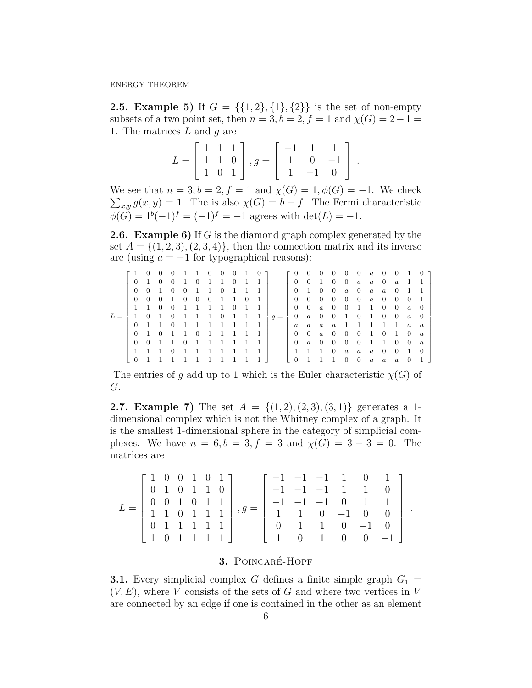**2.5. Example 5)** If  $G = \{\{1, 2\}, \{1\}, \{2\}\}\$ is the set of non-empty subsets of a two point set, then  $n = 3$ ,  $b = 2$ ,  $f = 1$  and  $\chi(G) = 2 - 1 =$ 1. The matrices  $L$  and  $g$  are

$$
L = \begin{bmatrix} 1 & 1 & 1 \\ 1 & 1 & 0 \\ 1 & 0 & 1 \end{bmatrix}, g = \begin{bmatrix} -1 & 1 & 1 \\ 1 & 0 & -1 \\ 1 & -1 & 0 \end{bmatrix}.
$$

We see that  $n = 3, b = 2, f = 1$  and  $\chi(G) = 1, \phi(G) = -1$ . We check  $\sum_{x,y} g(x,y) = 1$ . The is also  $\chi(G) = b - f$ . The Fermi characteristic  $\phi(G) = 1^{b}(-1)^{f} = (-1)^{f} = -1$  agrees with  $\det(L) = -1$ .

**2.6.** Example 6) If G is the diamond graph complex generated by the set  $A = \{(1, 2, 3), (2, 3, 4)\}\,$ , then the connection matrix and its inverse are (using  $a = -1$  for typographical reasons):

| $\Gamma$ 1 0 0 |                     |                             | $\overline{0}$ | 1 1 0                       |           | $\sim 0$     | $0\quad 1$     |              | $\overline{0}$        |       | $\begin{bmatrix} 0 & 0 \end{bmatrix}$ |                     | $\mathbf{0}$                        | $\overline{0}$ |                                  |                |                     | $0 \quad 0 \quad a \quad 0 \quad 0$                 |              | $\mathbf{1}$   | $\sim 0$       |
|----------------|---------------------|-----------------------------|----------------|-----------------------------|-----------|--------------|----------------|--------------|-----------------------|-------|---------------------------------------|---------------------|-------------------------------------|----------------|----------------------------------|----------------|---------------------|-----------------------------------------------------|--------------|----------------|----------------|
|                | $0\quad1$           | 0 0 1 0 1 1 0               |                |                             |           |              |                | $\mathbf{1}$ |                       |       |                                       | $0 \quad 0 \quad 1$ |                                     |                |                                  |                |                     | $0 \quad 0 \quad a \quad a \quad 0 \quad a \quad 1$ |              |                |                |
| $\Omega$       | $0\quad1$           |                             | $\overline{0}$ | $0 \quad 1 \quad 1 \quad 0$ |           |              | $\mathbf{1}$   | $\mathbf{1}$ |                       |       |                                       | $0 \quad 1 \quad 0$ |                                     | $\overline{0}$ |                                  |                |                     | $a \quad 0 \quad a \quad a \quad 0$                 |              | $\blacksquare$ |                |
|                |                     | $0 \quad 0 \quad 0 \quad 1$ |                | $0\quad 0\quad 0$           |           | 1 1          |                | - 0          |                       |       |                                       | $0\quad 0\quad 0$   |                                     | $\mathbf{0}$   | $\begin{array}{c} 0 \end{array}$ |                |                     | $0 \quad a \quad 0 \quad 0$                         |              | $\overline{0}$ |                |
|                | $1 \quad 1$         | $\overline{0}$              | $\overline{0}$ |                             | 1 1 1 1 0 |              |                | -1           |                       |       |                                       |                     | $0 \quad 0 \quad a \quad 0$         |                | $\overline{0}$                   |                |                     | 1 1 0 0                                             |              | $\overline{a}$ | - 0            |
|                |                     |                             |                |                             |           |              |                |              | 1 0 1 0 1 1 1 0 1 1 1 | $q =$ |                                       |                     |                                     |                |                                  |                |                     | 0 a 0 0 1 0 1 0 0                                   |              | $\overline{a}$ | - 0            |
|                |                     | $0 \t1 \t1 \t0$             |                | 1 1 1 1 1                   |           |              |                | $\mathbf{1}$ |                       |       |                                       |                     |                                     |                |                                  |                |                     | a a a a 1 1 1 1 1 a                                 |              |                | $\alpha$       |
|                | $0\quad1$           | 0 1 1 0 1 1 1 1             |                |                             |           |              |                |              |                       |       |                                       |                     |                                     |                |                                  |                |                     | 0 0 a 0 0 0 1 0 1 0                                 |              |                | $\alpha$       |
|                |                     | 0 0 1 1 0 1 1 1 1           |                |                             |           |              |                | $\mathbf{1}$ |                       |       |                                       |                     | $0 \quad a \quad 0 \quad 0 \quad 0$ |                |                                  |                | $0 \quad 1 \quad 1$ |                                                     | $\mathbf{0}$ | $\overline{0}$ | $\alpha$       |
|                | $1 \quad 1 \quad 1$ |                             | $\overline{0}$ | 1 1 1                       |           | $\mathbf{1}$ | $\blacksquare$ | $\mathbf{1}$ |                       |       |                                       | $1 \t1 \t1$         |                                     | $\overline{0}$ |                                  |                |                     | $a \quad a \quad a \quad 0 \quad 0$                 |              | $\overline{1}$ | $\overline{0}$ |
| $\overline{0}$ |                     |                             |                |                             |           |              |                |              |                       |       | $\overline{0}$                        |                     |                                     |                | $\Omega$                         | $\overline{0}$ |                     | $a \quad a \quad a$                                 |              | $\overline{0}$ |                |

The entries of g add up to 1 which is the Euler characteristic  $\chi(G)$  of G.

**2.7. Example 7)** The set  $A = \{(1, 2), (2, 3), (3, 1)\}\$  generates a 1dimensional complex which is not the Whitney complex of a graph. It is the smallest 1-dimensional sphere in the category of simplicial complexes. We have  $n = 6, b = 3, f = 3$  and  $\chi(G) = 3 - 3 = 0$ . The matrices are

| $\begin{bmatrix} 1 & 0 & 0 & 1 & 0 & 1 \end{bmatrix}$ |  |  |                         |  |  |  | $\begin{bmatrix} -1 & -1 & -1 & 1 & 0 & 1 \end{bmatrix}$ |  |
|-------------------------------------------------------|--|--|-------------------------|--|--|--|----------------------------------------------------------|--|
| $\begin{bmatrix} 0 & 1 & 0 & 1 & 1 & 0 \end{bmatrix}$ |  |  |                         |  |  |  | $-1$ $-1$ $-1$ 1 1 0                                     |  |
|                                                       |  |  | $0 \t0 \t1 \t0 \t1 \t1$ |  |  |  | $-1$ $-1$ $-1$ 0 1 1                                     |  |
| 1 1 0 1 1 1                                           |  |  |                         |  |  |  | $1 \quad 1 \quad 0 \quad -1 \quad 0 \quad 0$             |  |
|                                                       |  |  |                         |  |  |  | $\begin{bmatrix} 0 & 1 & 1 & 0 & -1 & 0 \end{bmatrix}$   |  |
| 1 0 1 1 1 1                                           |  |  |                         |  |  |  | $1 \t 0 \t 1 \t 0 \t 0 \t -1$                            |  |

.

# 3. POINCARÉ-HOPF

**3.1.** Every simplicial complex G defines a finite simple graph  $G_1$  =  $(V, E)$ , where V consists of the sets of G and where two vertices in V are connected by an edge if one is contained in the other as an element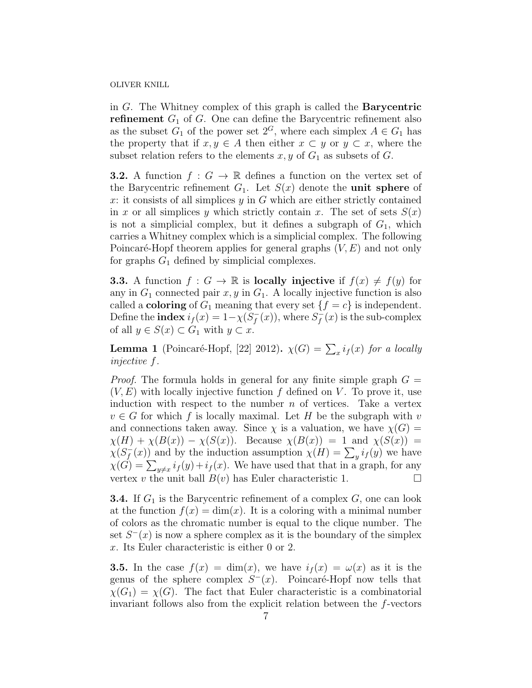in G. The Whitney complex of this graph is called the Barycentric **refinement**  $G_1$  of G. One can define the Barycentric refinement also as the subset  $G_1$  of the power set  $2^G$ , where each simplex  $A \in G_1$  has the property that if  $x, y \in A$  then either  $x \subset y$  or  $y \subset x$ , where the subset relation refers to the elements  $x, y$  of  $G_1$  as subsets of  $G$ .

**3.2.** A function  $f: G \to \mathbb{R}$  defines a function on the vertex set of the Barycentric refinement  $G_1$ . Let  $S(x)$  denote the **unit sphere** of x: it consists of all simplices  $y$  in  $G$  which are either strictly contained in x or all simplices y which strictly contain x. The set of sets  $S(x)$ is not a simplicial complex, but it defines a subgraph of  $G_1$ , which carries a Whitney complex which is a simplicial complex. The following Poincaré-Hopf theorem applies for general graphs  $(V, E)$  and not only for graphs  $G_1$  defined by simplicial complexes.

**3.3.** A function  $f : G \to \mathbb{R}$  is **locally injective** if  $f(x) \neq f(y)$  for any in  $G_1$  connected pair  $x, y$  in  $G_1$ . A locally injective function is also called a **coloring** of  $G_1$  meaning that every set  $\{f = c\}$  is independent. Define the **index**  $i_f(x) = 1 - \chi(\overline{S_f})$  $\int_{f}^{-}(x)$ , where  $S_f^{-}$  $\bar{f}_f(x)$  is the sub-complex of all  $y \in S(x) \subset G_1$  with  $y \subset x$ .

**Lemma 1** (Poincaré-Hopf, [22] 2012).  $\chi(G) = \sum_x i_f(x)$  for a locally injective f.

*Proof.* The formula holds in general for any finite simple graph  $G =$  $(V, E)$  with locally injective function f defined on V. To prove it, use induction with respect to the number  $n$  of vertices. Take a vertex  $v \in G$  for which f is locally maximal. Let H be the subgraph with v and connections taken away. Since  $\chi$  is a valuation, we have  $\chi(G)$  =  $\chi(H) + \chi(B(x)) - \chi(S(x))$ . Because  $\chi(B(x)) = 1$  and  $\chi(S(x)) =$  $\chi(S_{\tt f}^-)$  $f_{f}(x)$  and by the induction assumption  $\chi(H) = \sum_{y} i_{f}(y)$  we have  $\chi(G) = \sum_{y \neq x} i_f(y) + i_f(x)$ . We have used that that in a graph, for any vertex v the unit ball  $B(v)$  has Euler characteristic 1.

**3.4.** If  $G_1$  is the Barycentric refinement of a complex  $G$ , one can look at the function  $f(x) = \dim(x)$ . It is a coloring with a minimal number of colors as the chromatic number is equal to the clique number. The set  $S^{-}(x)$  is now a sphere complex as it is the boundary of the simplex x. Its Euler characteristic is either 0 or 2.

**3.5.** In the case  $f(x) = \dim(x)$ , we have  $i_f(x) = \omega(x)$  as it is the genus of the sphere complex  $S^-(x)$ . Poincaré-Hopf now tells that  $\chi(G_1) = \chi(G)$ . The fact that Euler characteristic is a combinatorial invariant follows also from the explicit relation between the f-vectors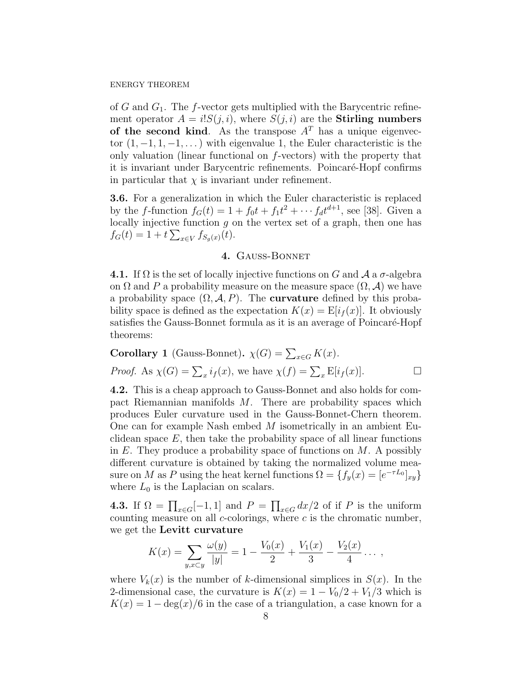of  $G$  and  $G_1$ . The f-vector gets multiplied with the Barycentric refinement operator  $A = i!S(j,i)$ , where  $S(j,i)$  are the **Stirling numbers** of the second kind. As the transpose  $A<sup>T</sup>$  has a unique eigenvector  $(1, -1, 1, -1, ...)$  with eigenvalue 1, the Euler characteristic is the only valuation (linear functional on  $f$ -vectors) with the property that it is invariant under Barycentric refinements. Poincaré-Hopf confirms in particular that  $\chi$  is invariant under refinement.

3.6. For a generalization in which the Euler characteristic is replaced by the *f*-function  $f_G(t) = 1 + f_0 t + f_1 t^2 + \cdots + f_d t^{d+1}$ , see [38]. Given a locally injective function  $g$  on the vertex set of a graph, then one has  $f_G(t) = 1 + t \sum_{x \in V} f_{S_g(x)}(t).$ 

# 4. Gauss-Bonnet

**4.1.** If  $\Omega$  is the set of locally injective functions on G and A a  $\sigma$ -algebra on  $\Omega$  and P a probability measure on the measure space  $(\Omega, \mathcal{A})$  we have a probability space  $(\Omega, \mathcal{A}, P)$ . The **curvature** defined by this probability space is defined as the expectation  $K(x) = \mathbb{E}[i_f(x)]$ . It obviously satisfies the Gauss-Bonnet formula as it is an average of Poincaré-Hopf theorems:

**Corollary 1** (Gauss-Bonnet). 
$$
\chi(G) = \sum_{x \in G} K(x)
$$
.  
*Proof.* As  $\chi(G) = \sum_x i_f(x)$ , we have  $\chi(f) = \sum_x \mathbb{E}[i_f(x)]$ .

4.2. This is a cheap approach to Gauss-Bonnet and also holds for compact Riemannian manifolds M. There are probability spaces which produces Euler curvature used in the Gauss-Bonnet-Chern theorem. One can for example Nash embed M isometrically in an ambient Euclidean space  $E$ , then take the probability space of all linear functions in  $E$ . They produce a probability space of functions on  $M$ . A possibly different curvature is obtained by taking the normalized volume measure on M as P using the heat kernel functions  $\Omega = \{f_y(x) = [e^{-\tau L_0}]_{xy}\}$ where  $L_0$  is the Laplacian on scalars.

**4.3.** If  $\Omega = \prod_{x \in G} [-1, 1]$  and  $P = \prod_{x \in G} dx/2$  of if P is the uniform counting measure on all  $c$ -colorings, where  $c$  is the chromatic number, we get the Levitt curvature

$$
K(x) = \sum_{y,x \subset y} \frac{\omega(y)}{|y|} = 1 - \frac{V_0(x)}{2} + \frac{V_1(x)}{3} - \frac{V_2(x)}{4} \dots,
$$

where  $V_k(x)$  is the number of k-dimensional simplices in  $S(x)$ . In the 2-dimensional case, the curvature is  $K(x) = 1 - V_0/2 + V_1/3$  which is  $K(x) = 1 - \deg(x)/6$  in the case of a triangulation, a case known for a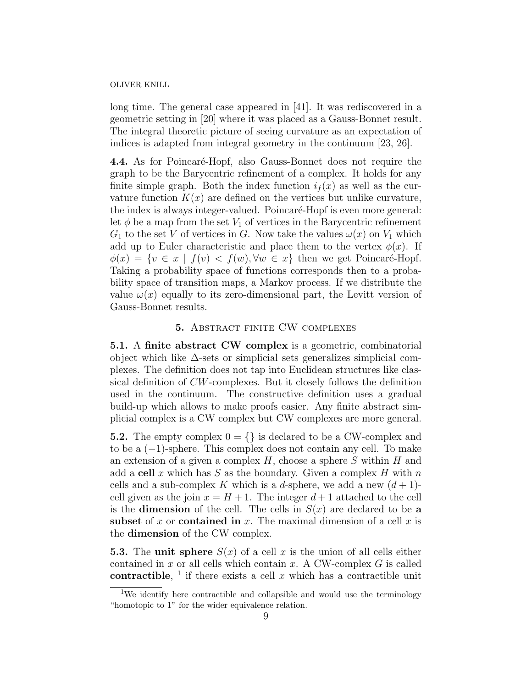long time. The general case appeared in [41]. It was rediscovered in a geometric setting in [20] where it was placed as a Gauss-Bonnet result. The integral theoretic picture of seeing curvature as an expectation of indices is adapted from integral geometry in the continuum [23, 26].

4.4. As for Poincaré-Hopf, also Gauss-Bonnet does not require the graph to be the Barycentric refinement of a complex. It holds for any finite simple graph. Both the index function  $i<sub>f</sub>(x)$  as well as the curvature function  $K(x)$  are defined on the vertices but unlike curvature, the index is always integer-valued. Poincaré-Hopf is even more general: let  $\phi$  be a map from the set  $V_1$  of vertices in the Barycentric refinement  $G_1$  to the set V of vertices in G. Now take the values  $\omega(x)$  on  $V_1$  which add up to Euler characteristic and place them to the vertex  $\phi(x)$ . If  $\phi(x) = \{v \in x \mid f(v) < f(w), \forall w \in x\}$  then we get Poincaré-Hopf. Taking a probability space of functions corresponds then to a probability space of transition maps, a Markov process. If we distribute the value  $\omega(x)$  equally to its zero-dimensional part, the Levitt version of Gauss-Bonnet results.

### 5. Abstract finite CW complexes

5.1. A finite abstract CW complex is a geometric, combinatorial object which like  $\Delta$ -sets or simplicial sets generalizes simplicial complexes. The definition does not tap into Euclidean structures like classical definition of CW-complexes. But it closely follows the definition used in the continuum. The constructive definition uses a gradual build-up which allows to make proofs easier. Any finite abstract simplicial complex is a CW complex but CW complexes are more general.

**5.2.** The empty complex  $0 = \{\}$  is declared to be a CW-complex and to be a (−1)-sphere. This complex does not contain any cell. To make an extension of a given a complex  $H$ , choose a sphere S within  $H$  and add a cell x which has S as the boundary. Given a complex H with  $n$ cells and a sub-complex K which is a d-sphere, we add a new  $(d+1)$ cell given as the join  $x = H + 1$ . The integer  $d + 1$  attached to the cell is the **dimension** of the cell. The cells in  $S(x)$  are declared to be a subset of x or contained in x. The maximal dimension of a cell x is the dimension of the CW complex.

**5.3.** The unit sphere  $S(x)$  of a cell x is the union of all cells either contained in  $x$  or all cells which contain  $x$ . A CW-complex  $G$  is called contractible, <sup>1</sup> if there exists a cell x which has a contractible unit

<sup>&</sup>lt;sup>1</sup>We identify here contractible and collapsible and would use the terminology "homotopic to 1" for the wider equivalence relation.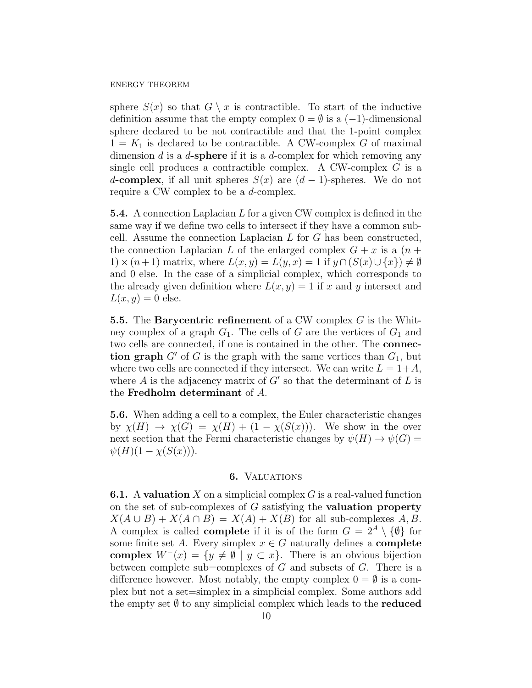sphere  $S(x)$  so that  $G \setminus x$  is contractible. To start of the inductive definition assume that the empty complex  $0 = \emptyset$  is a  $(-1)$ -dimensional sphere declared to be not contractible and that the 1-point complex  $1 = K_1$  is declared to be contractible. A CW-complex G of maximal dimension  $d$  is a  $d$ -sphere if it is a  $d$ -complex for which removing any single cell produces a contractible complex. A CW-complex G is a d-complex, if all unit spheres  $S(x)$  are  $(d-1)$ -spheres. We do not require a CW complex to be a d-complex.

**5.4.** A connection Laplacian  $L$  for a given CW complex is defined in the same way if we define two cells to intersect if they have a common subcell. Assume the connection Laplacian  $L$  for  $G$  has been constructed, the connection Laplacian L of the enlarged complex  $G + x$  is a  $(n +$ 1) × (n+1) matrix, where  $L(x, y) = L(y, x) = 1$  if  $y \cap (S(x) \cup \{x\}) \neq \emptyset$ and 0 else. In the case of a simplicial complex, which corresponds to the already given definition where  $L(x, y) = 1$  if x and y intersect and  $L(x, y) = 0$  else.

5.5. The Barycentric refinement of a CW complex  $G$  is the Whitney complex of a graph  $G_1$ . The cells of G are the vertices of  $G_1$  and two cells are connected, if one is contained in the other. The connection graph  $G'$  of G is the graph with the same vertices than  $G_1$ , but where two cells are connected if they intersect. We can write  $L = 1+A$ , where  $A$  is the adjacency matrix of  $G'$  so that the determinant of  $L$  is the Fredholm determinant of A.

5.6. When adding a cell to a complex, the Euler characteristic changes by  $\chi(H) \to \chi(G) = \chi(H) + (1 - \chi(S(x)))$ . We show in the over next section that the Fermi characteristic changes by  $\psi(H) \to \psi(G)$  $\psi(H)(1 - \chi(S(x))).$ 

### 6. VALUATIONS

**6.1.** A valuation X on a simplicial complex  $G$  is a real-valued function on the set of sub-complexes of  $G$  satisfying the **valuation property**  $X(A \cup B) + X(A \cap B) = X(A) + X(B)$  for all sub-complexes A, B. A complex is called **complete** if it is of the form  $G = 2^A \setminus \{\emptyset\}$  for some finite set A. Every simplex  $x \in G$  naturally defines a **complete** complex  $W^{-}(x) = \{y \neq \emptyset \mid y \subset x\}$ . There is an obvious bijection between complete sub=complexes of  $G$  and subsets of  $G$ . There is a difference however. Most notably, the empty complex  $0 = \emptyset$  is a complex but not a set=simplex in a simplicial complex. Some authors add the empty set  $\emptyset$  to any simplicial complex which leads to the **reduced**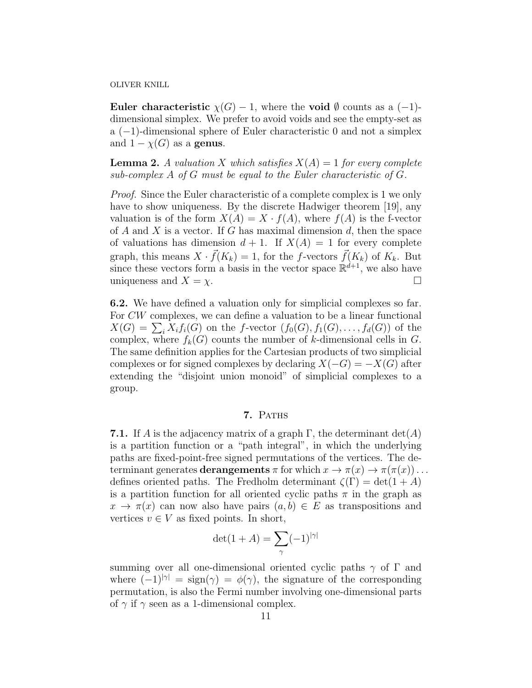Euler characteristic  $\chi(G) - 1$ , where the void  $\emptyset$  counts as a  $(-1)$ dimensional simplex. We prefer to avoid voids and see the empty-set as a (−1)-dimensional sphere of Euler characteristic 0 and not a simplex and  $1 - \chi(G)$  as a genus.

**Lemma 2.** A valuation X which satisfies  $X(A) = 1$  for every complete sub-complex A of G must be equal to the Euler characteristic of G.

Proof. Since the Euler characteristic of a complete complex is 1 we only have to show uniqueness. By the discrete Hadwiger theorem [19], any valuation is of the form  $X(A) = X \cdot f(A)$ , where  $f(A)$  is the f-vector of A and X is a vector. If G has maximal dimension d, then the space of valuations has dimension  $d + 1$ . If  $X(A) = 1$  for every complete graph, this means  $X \cdot \vec{f}(K_k) = 1$ , for the f-vectors  $\vec{f}(K_k)$  of  $K_k$ . But since these vectors form a basis in the vector space  $\mathbb{R}^{d+1}$ , we also have uniqueness and  $X = \chi$ .

6.2. We have defined a valuation only for simplicial complexes so far. For CW complexes, we can define a valuation to be a linear functional  $X(G) = \sum_i X_i f_i(G)$  on the f-vector  $(f_0(G), f_1(G), \ldots, f_d(G))$  of the complex, where  $f_k(G)$  counts the number of k-dimensional cells in G. The same definition applies for the Cartesian products of two simplicial complexes or for signed complexes by declaring  $X(-G) = -X(G)$  after extending the "disjoint union monoid" of simplicial complexes to a group.

# 7. PATHS

**7.1.** If A is the adjacency matrix of a graph  $\Gamma$ , the determinant  $\det(A)$ is a partition function or a "path integral", in which the underlying paths are fixed-point-free signed permutations of the vertices. The determinant generates **derangements**  $\pi$  for which  $x \to \pi(x) \to \pi(\pi(x)) \ldots$ defines oriented paths. The Fredholm determinant  $\zeta(\Gamma) = \det(1 + A)$ is a partition function for all oriented cyclic paths  $\pi$  in the graph as  $x \to \pi(x)$  can now also have pairs  $(a, b) \in E$  as transpositions and vertices  $v \in V$  as fixed points. In short,

$$
\det(1+A) = \sum_{\gamma} (-1)^{|\gamma|}
$$

summing over all one-dimensional oriented cyclic paths  $\gamma$  of  $\Gamma$  and where  $(-1)^{|\gamma|} = \text{sign}(\gamma) = \phi(\gamma)$ , the signature of the corresponding permutation, is also the Fermi number involving one-dimensional parts of  $\gamma$  if  $\gamma$  seen as a 1-dimensional complex.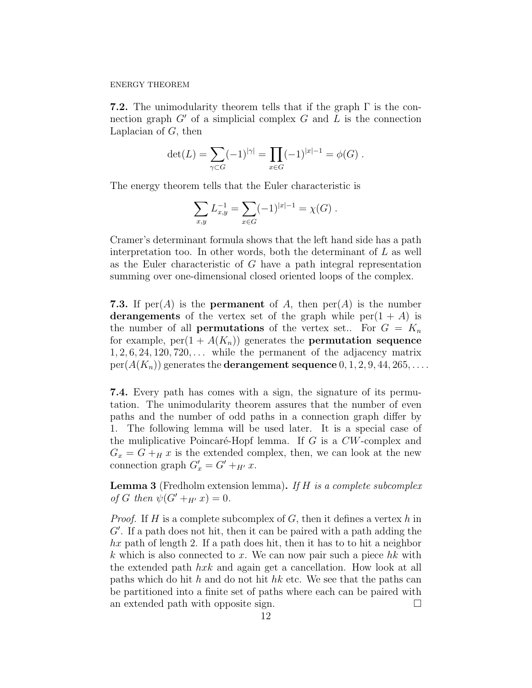**7.2.** The unimodularity theorem tells that if the graph  $\Gamma$  is the connection graph  $G'$  of a simplicial complex  $G$  and  $L$  is the connection Laplacian of  $G$ , then

$$
\det(L) = \sum_{\gamma \subset G} (-1)^{|\gamma|} = \prod_{x \in G} (-1)^{|x|-1} = \phi(G) .
$$

The energy theorem tells that the Euler characteristic is

$$
\sum_{x,y} L_{x,y}^{-1} = \sum_{x \in G} (-1)^{|x|-1} = \chi(G) .
$$

Cramer's determinant formula shows that the left hand side has a path interpretation too. In other words, both the determinant of  $L$  as well as the Euler characteristic of G have a path integral representation summing over one-dimensional closed oriented loops of the complex.

**7.3.** If per(A) is the **permanent** of A, then  $per(A)$  is the number derangements of the vertex set of the graph while  $per(1 + A)$  is the number of all **permutations** of the vertex set.. For  $G = K_n$ for example,  $per(1 + A(K_n))$  generates the **permutation sequence**  $1, 2, 6, 24, 120, 720, \ldots$  while the permanent of the adjacency matrix  $per(A(K_n))$  generates the **derangement sequence**  $0, 1, 2, 9, 44, 265, \ldots$ .

7.4. Every path has comes with a sign, the signature of its permutation. The unimodularity theorem assures that the number of even paths and the number of odd paths in a connection graph differ by 1. The following lemma will be used later. It is a special case of the muliplicative Poincaré-Hopf lemma. If G is a  $CW$ -complex and  $G_x = G + H x$  is the extended complex, then, we can look at the new connection graph  $G'_x = G' + _{H'} x$ .

**Lemma 3** (Fredholm extension lemma). If  $H$  is a complete subcomplex of G then  $\psi(G'+_{H'}x) = 0$ .

*Proof.* If H is a complete subcomplex of G, then it defines a vertex h in  $G'$ . If a path does not hit, then it can be paired with a path adding the  $hx$  path of length 2. If a path does hit, then it has to to hit a neighbor k which is also connected to x. We can now pair such a piece  $hk$  with the extended path hxk and again get a cancellation. How look at all paths which do hit h and do not hit hk etc. We see that the paths can be partitioned into a finite set of paths where each can be paired with an extended path with opposite sign.  $\square$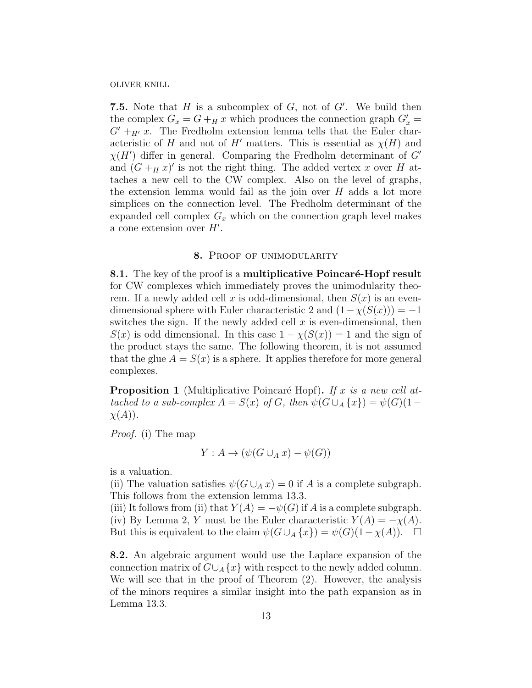7.5. Note that  $H$  is a subcomplex of  $G$ , not of  $G'$ . We build then the complex  $G_x = G + H x$  which produces the connection graph  $G'_x =$  $G'+_{H'}x$ . The Fredholm extension lemma tells that the Euler characteristic of H and not of H' matters. This is essential as  $\chi(H)$  and  $\chi(H')$  differ in general. Comparing the Fredholm determinant of G' and  $(G +_H x)'$  is not the right thing. The added vertex x over H attaches a new cell to the CW complex. Also on the level of graphs, the extension lemma would fail as the join over  $H$  adds a lot more simplices on the connection level. The Fredholm determinant of the expanded cell complex  $G_x$  which on the connection graph level makes a cone extension over  $H'$ .

### 8. PROOF OF UNIMODULARITY

8.1. The key of the proof is a multiplicative Poincaré-Hopf result for CW complexes which immediately proves the unimodularity theorem. If a newly added cell x is odd-dimensional, then  $S(x)$  is an evendimensional sphere with Euler characteristic 2 and  $(1-\chi(S(x))) = -1$ switches the sign. If the newly added cell  $x$  is even-dimensional, then  $S(x)$  is odd dimensional. In this case  $1 - \chi(S(x)) = 1$  and the sign of the product stays the same. The following theorem, it is not assumed that the glue  $A = S(x)$  is a sphere. It applies therefore for more general complexes.

**Proposition 1** (Multiplicative Poincaré Hopf). If x is a new cell attached to a sub-complex  $A = S(x)$  of G, then  $\psi(G \cup_A \{x\}) = \psi(G)(1 \chi(A)).$ 

Proof. (i) The map

$$
Y: A \to (\psi(G \cup_A x) - \psi(G))
$$

is a valuation.

(ii) The valuation satisfies  $\psi(G \cup_A x) = 0$  if A is a complete subgraph. This follows from the extension lemma 13.3.

(iii) It follows from (ii) that  $Y(A) = -\psi(G)$  if A is a complete subgraph. (iv) By Lemma 2, Y must be the Euler characteristic  $Y(A) = -\chi(A)$ . But this is equivalent to the claim  $\psi(G \cup_A \{x\}) = \psi(G)(1 - \chi(A)).$ 

8.2. An algebraic argument would use the Laplace expansion of the connection matrix of  $G \cup_A \{x\}$  with respect to the newly added column. We will see that in the proof of Theorem  $(2)$ . However, the analysis of the minors requires a similar insight into the path expansion as in Lemma 13.3.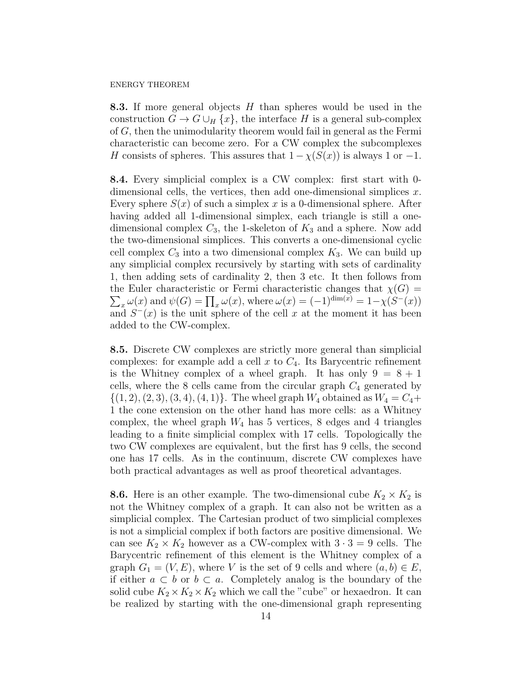8.3. If more general objects H than spheres would be used in the construction  $G \to G \cup_H \{x\}$ , the interface H is a general sub-complex of G, then the unimodularity theorem would fail in general as the Fermi characteristic can become zero. For a CW complex the subcomplexes H consists of spheres. This assures that  $1 - \chi(S(x))$  is always 1 or -1.

8.4. Every simplicial complex is a CW complex: first start with 0 dimensional cells, the vertices, then add one-dimensional simplices  $x$ . Every sphere  $S(x)$  of such a simplex x is a 0-dimensional sphere. After having added all 1-dimensional simplex, each triangle is still a onedimensional complex  $C_3$ , the 1-skeleton of  $K_3$  and a sphere. Now add the two-dimensional simplices. This converts a one-dimensional cyclic cell complex  $C_3$  into a two dimensional complex  $K_3$ . We can build up any simplicial complex recursively by starting with sets of cardinality 1, then adding sets of cardinality 2, then 3 etc. It then follows from the Euler characteristic or Fermi characteristic changes that  $\chi(G)$  $\sum_{x} \omega(x)$  and  $\psi(G) = \prod_{x} \omega(x)$ , where  $\omega(x) = (-1)^{\dim(x)} = 1 - \chi(S^{-}(x))$ and  $S^{-}(x)$  is the unit sphere of the cell x at the moment it has been added to the CW-complex.

8.5. Discrete CW complexes are strictly more general than simplicial complexes: for example add a cell  $x$  to  $C_4$ . Its Barycentric refinement is the Whitney complex of a wheel graph. It has only  $9 = 8 + 1$ cells, where the 8 cells came from the circular graph  $C_4$  generated by  $\{(1, 2), (2, 3), (3, 4), (4, 1)\}.$  The wheel graph  $W_4$  obtained as  $W_4 = C_4 +$ 1 the cone extension on the other hand has more cells: as a Whitney complex, the wheel graph  $W_4$  has 5 vertices, 8 edges and 4 triangles leading to a finite simplicial complex with 17 cells. Topologically the two CW complexes are equivalent, but the first has 9 cells, the second one has 17 cells. As in the continuum, discrete CW complexes have both practical advantages as well as proof theoretical advantages.

**8.6.** Here is an other example. The two-dimensional cube  $K_2 \times K_2$  is not the Whitney complex of a graph. It can also not be written as a simplicial complex. The Cartesian product of two simplicial complexes is not a simplicial complex if both factors are positive dimensional. We can see  $K_2 \times K_2$  however as a CW-complex with  $3 \cdot 3 = 9$  cells. The Barycentric refinement of this element is the Whitney complex of a graph  $G_1 = (V, E)$ , where V is the set of 9 cells and where  $(a, b) \in E$ , if either  $a \subset b$  or  $b \subset a$ . Completely analog is the boundary of the solid cube  $K_2 \times K_2 \times K_2$  which we call the "cube" or hexaedron. It can be realized by starting with the one-dimensional graph representing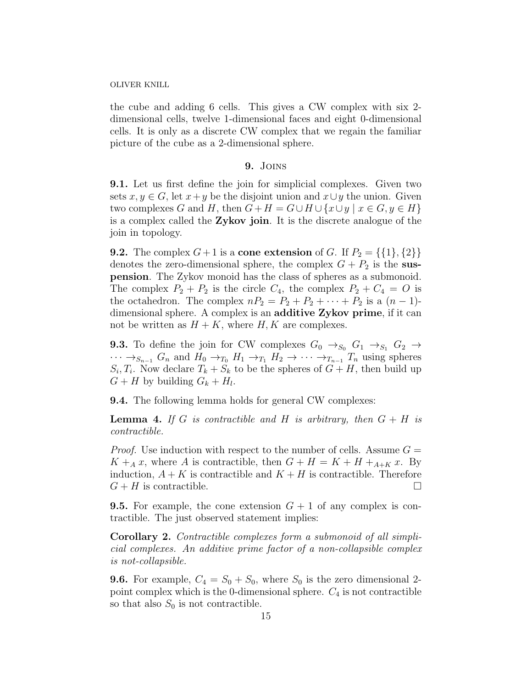the cube and adding 6 cells. This gives a CW complex with six 2 dimensional cells, twelve 1-dimensional faces and eight 0-dimensional cells. It is only as a discrete CW complex that we regain the familiar picture of the cube as a 2-dimensional sphere.

### 9. Joins

9.1. Let us first define the join for simplicial complexes. Given two sets  $x, y \in G$ , let  $x+y$  be the disjoint union and  $x \cup y$  the union. Given two complexes G and H, then  $G + H = G \cup H \cup \{x \cup y \mid x \in G, y \in H\}$ is a complex called the Zykov join. It is the discrete analogue of the join in topology.

**9.2.** The complex  $G + 1$  is a **cone extension** of G. If  $P_2 = \{\{1\}, \{2\}\}\$ denotes the zero-dimensional sphere, the complex  $G + P_2$  is the suspension. The Zykov monoid has the class of spheres as a submonoid. The complex  $P_2 + P_2$  is the circle  $C_4$ , the complex  $P_2 + C_4 = O$  is the octahedron. The complex  $nP_2 = P_2 + P_2 + \cdots + P_2$  is a  $(n-1)$ dimensional sphere. A complex is an additive Zykov prime, if it can not be written as  $H + K$ , where H, K are complexes.

**9.3.** To define the join for CW complexes  $G_0 \rightarrow_{S_0} G_1 \rightarrow_{S_1} G_2 \rightarrow$  $\cdots \rightarrow_{S_{n-1}} G_n$  and  $H_0 \rightarrow_{T_0} H_1 \rightarrow_{T_1} H_2 \rightarrow \cdots \rightarrow_{T_{n-1}} T_n$  using spheres  $S_i, T_i$ . Now declare  $T_k + S_k$  to be the spheres of  $G + H$ , then build up  $G + H$  by building  $G_k + H_l$ .

9.4. The following lemma holds for general CW complexes:

**Lemma 4.** If G is contractible and H is arbitrary, then  $G + H$  is contractible.

*Proof.* Use induction with respect to the number of cells. Assume  $G =$  $K +_{A} x$ , where A is contractible, then  $G + H = K + H +_{A+K} x$ . By induction,  $A + K$  is contractible and  $K + H$  is contractible. Therefore  $G + H$  is contractible.

**9.5.** For example, the cone extension  $G + 1$  of any complex is contractible. The just observed statement implies:

Corollary 2. Contractible complexes form a submonoid of all simplicial complexes. An additive prime factor of a non-collapsible complex is not-collapsible.

**9.6.** For example,  $C_4 = S_0 + S_0$ , where  $S_0$  is the zero dimensional 2point complex which is the 0-dimensional sphere.  $C_4$  is not contractible so that also  $S_0$  is not contractible.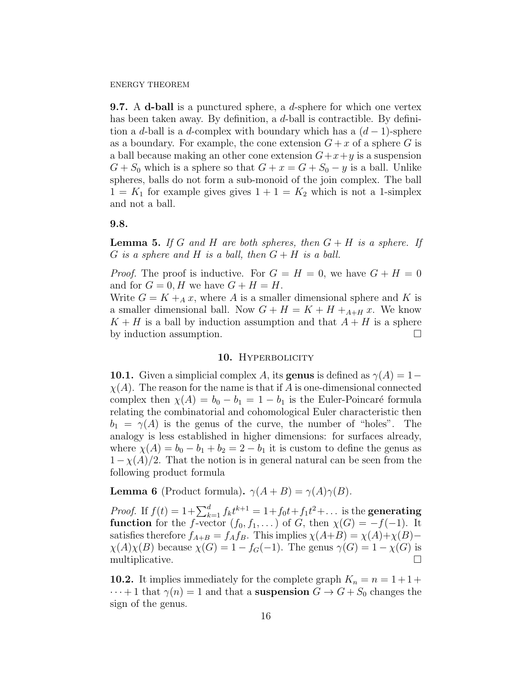**9.7.** A d-ball is a punctured sphere, a  $d$ -sphere for which one vertex has been taken away. By definition, a d-ball is contractible. By definition a d-ball is a d-complex with boundary which has a  $(d-1)$ -sphere as a boundary. For example, the cone extension  $G + x$  of a sphere G is a ball because making an other cone extension  $G+x+y$  is a suspension  $G + S_0$  which is a sphere so that  $G + x = G + S_0 - y$  is a ball. Unlike spheres, balls do not form a sub-monoid of the join complex. The ball  $1 = K_1$  for example gives gives  $1 + 1 = K_2$  which is not a 1-simplex and not a ball.

### 9.8.

**Lemma 5.** If G and H are both spheres, then  $G + H$  is a sphere. If G is a sphere and H is a ball, then  $G + H$  is a ball.

*Proof.* The proof is inductive. For  $G = H = 0$ , we have  $G + H = 0$ and for  $G = 0$ , H we have  $G + H = H$ .

Write  $G = K +_{A} x$ , where A is a smaller dimensional sphere and K is a smaller dimensional ball. Now  $G + H = K + H +_{A+H} x$ . We know  $K + H$  is a ball by induction assumption and that  $A + H$  is a sphere by induction assumption.

### 10. HYPERBOLICITY

**10.1.** Given a simplicial complex A, its **genus** is defined as  $\gamma(A) = 1 \chi(A)$ . The reason for the name is that if A is one-dimensional connected complex then  $\chi(A) = b_0 - b_1 = 1 - b_1$  is the Euler-Poincaré formula relating the combinatorial and cohomological Euler characteristic then  $b_1 = \gamma(A)$  is the genus of the curve, the number of "holes". The analogy is less established in higher dimensions: for surfaces already, where  $\chi(A) = b_0 - b_1 + b_2 = 2 - b_1$  it is custom to define the genus as  $1-\chi(A)/2$ . That the notion is in general natural can be seen from the following product formula

**Lemma 6** (Product formula).  $\gamma(A+B) = \gamma(A)\gamma(B)$ .

*Proof.* If  $f(t) = 1 + \sum_{k=1}^{d} f_k t^{k+1} = 1 + f_0 t + f_1 t^2 + \dots$  is the **generating function** for the f-vector  $(f_0, f_1, \dots)$  of G, then  $\chi(G) = -f(-1)$ . It satisfies therefore  $f_{A+B} = f_A f_B$ . This implies  $\chi(A+B) = \chi(A)+\chi(B)$  $\chi(A)\chi(B)$  because  $\chi(G) = 1 - f_G(-1)$ . The genus  $\gamma(G) = 1 - \chi(G)$  is multiplicative.

**10.2.** It implies immediately for the complete graph  $K_n = n = 1 + 1 +$  $\cdots + 1$  that  $\gamma(n) = 1$  and that a suspension  $G \to G + S_0$  changes the sign of the genus.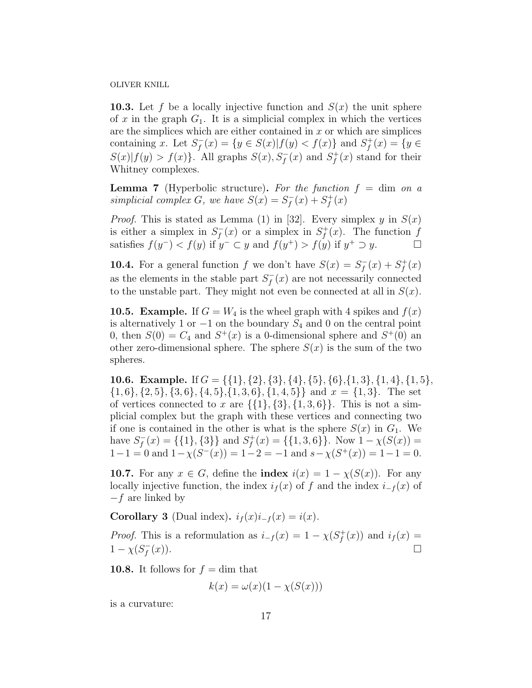**10.3.** Let f be a locally injective function and  $S(x)$  the unit sphere of x in the graph  $G_1$ . It is a simplicial complex in which the vertices are the simplices which are either contained in  $x$  or which are simplices containing x. Let  $S_f^$  $f_f^-(x) = \{ y \in S(x) | f(y) < f(x) \}$  and  $S_f^+$  $f_f^{+}(x) = \{y \in$  $S(x)|f(y) > f(x)$ . All graphs  $S(x), S_f^-(x)$  and  $S_f^+$  $f_f^+(x)$  stand for their Whitney complexes.

**Lemma 7** (Hyperbolic structure). For the function  $f = \dim$  on a simplicial complex G, we have  $S(x) = S_f^$  $f_5^-(x) + S_f^+$  $f^+(x)$ 

*Proof.* This is stated as Lemma (1) in [32]. Every simplex y in  $S(x)$ is either a simplex in  $S_f^$  $f_{f}^{-}(x)$  or a simplex in  $S_{f}^{+}$  $f^+(x)$ . The function f satisfies  $f(y^-) < f(y)$  if  $y^- \subset y$  and  $f(y^+) > f(y)$  if  $y^+ \supset y$ .

**10.4.** For a general function f we don't have  $S(x) = S_f^$  $f_f^{(-)}(x) + S_f^{+}$  $f^+(x)$ as the elements in the stable part  $S_f^$  $f_{f}^{-}(x)$  are not necessarily connected to the unstable part. They might not even be connected at all in  $S(x)$ .

**10.5. Example.** If  $G = W_4$  is the wheel graph with 4 spikes and  $f(x)$ is alternatively 1 or  $-1$  on the boundary  $S_4$  and 0 on the central point 0, then  $S(0) = C_4$  and  $S^+(x)$  is a 0-dimensional sphere and  $S^+(0)$  and other zero-dimensional sphere. The sphere  $S(x)$  is the sum of the two spheres.

10.6. Example. If  $G = \{\{1\}, \{2\}, \{3\}, \{4\}, \{5\}, \{6\}, \{1, 3\}, \{1, 4\}, \{1, 5\},\$  $\{1,6\}, \{2,5\}, \{3,6\}, \{4,5\}, \{1,3,6\}, \{1,4,5\}\}\$  and  $x = \{1,3\}.$  The set of vertices connected to x are  $\{\{1\},\{3\},\{1,3,6\}\}\$ . This is not a simplicial complex but the graph with these vertices and connecting two if one is contained in the other is what is the sphere  $S(x)$  in  $G_1$ . We have  $S_f^$  $f_{f}^{-}(x) = \{\{1\},\{3\}\}\$ and  $S_{f}^{+}$  $f_f^+(x) = \{\{1,3,6\}\}\.$  Now  $1 - \chi(S(x)) =$  $1-1=0$  and  $1-\chi(S^{-}(x))=1-2=-1$  and  $s-\chi(S^{+}(x))=1-1=0$ .

**10.7.** For any  $x \in G$ , define the **index**  $i(x) = 1 - \chi(S(x))$ . For any locally injective function, the index  $i_f(x)$  of f and the index  $i_{-f}(x)$  of −f are linked by

Corollary 3 (Dual index).  $i_f(x)i_{-f}(x) = i(x)$ .

*Proof.* This is a reformulation as  $i_{-f}(x) = 1 - \chi(S_f^+)$  $i_f^+(x)$  and  $i_f(x) =$  $1 - \chi(S_f^-)$ f  $(x).$ 

**10.8.** It follows for  $f = \dim \text{ that}$ 

$$
k(x) = \omega(x)(1 - \chi(S(x)))
$$

is a curvature: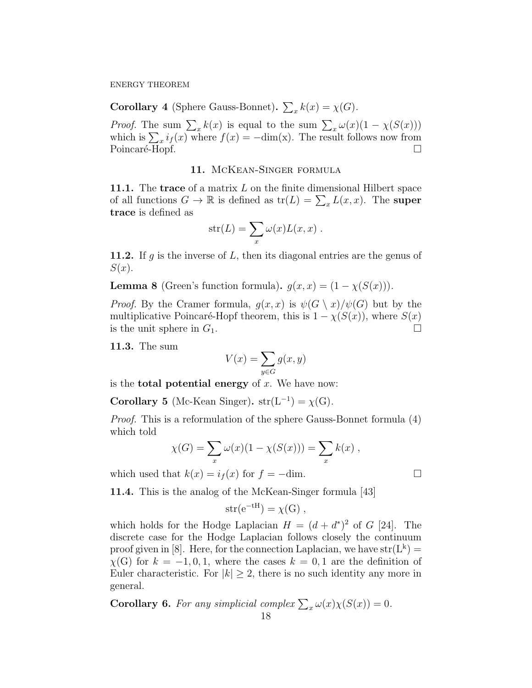**Corollary 4** (Sphere Gauss-Bonnet).  $\sum_{x} k(x) = \chi(G)$ .

*Proof.* The sum  $\sum_{x} k(x)$  is equal to the sum  $\sum_{x} \omega(x) (1 - \chi(S(x)))$ which is  $\sum_{x} i_f(x)$  where  $f(x) = -\dim(x)$ . The result follows now from Poincaré-Hopf.

### 11. McKean-Singer formula

11.1. The trace of a matrix  $L$  on the finite dimensional Hilbert space of all functions  $G \to \mathbb{R}$  is defined as  $tr(L) = \sum_x L(x, x)$ . The super trace is defined as

$$
str(L) = \sum_{x} \omega(x) L(x, x) .
$$

**11.2.** If  $g$  is the inverse of  $L$ , then its diagonal entries are the genus of  $S(x)$ .

**Lemma 8** (Green's function formula).  $g(x, x) = (1 - \chi(S(x)))$ .

*Proof.* By the Cramer formula,  $g(x, x)$  is  $\psi(G \setminus x)/\psi(G)$  but by the multiplicative Poincaré-Hopf theorem, this is  $1 - \chi(S(x))$ , where  $S(x)$ is the unit sphere in  $G_1$ .

11.3. The sum

$$
V(x) = \sum_{y \in G} g(x, y)
$$

is the **total potential energy** of  $x$ . We have now:

Corollary 5 (Mc-Kean Singer).  $str(L^{-1}) = \chi(G)$ .

Proof. This is a reformulation of the sphere Gauss-Bonnet formula (4) which told

$$
\chi(G) = \sum_{x} \omega(x)(1 - \chi(S(x))) = \sum_{x} k(x) ,
$$

which used that  $k(x) = i_f(x)$  for  $f = -\text{dim}$ .

11.4. This is the analog of the McKean-Singer formula [43]

$$
str(e^{-tH}) = \chi(G) ,
$$

which holds for the Hodge Laplacian  $H = (d + d^*)^2$  of G [24]. The discrete case for the Hodge Laplacian follows closely the continuum proof given in [8]. Here, for the connection Laplacian, we have  $str(L^k)$  =  $\chi(G)$  for  $k = -1, 0, 1$ , where the cases  $k = 0, 1$  are the definition of Euler characteristic. For  $|k| > 2$ , there is no such identity any more in general.

**Corollary 6.** For any simplicial complex  $\sum_{x} \omega(x) \chi(S(x)) = 0$ .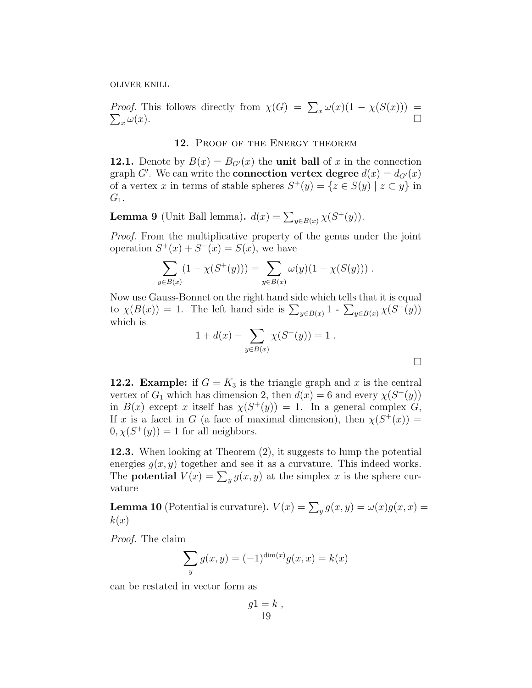*Proof.* This follows directly from  $\chi(G) = \sum_x \omega(x)(1 - \chi(S(x))) = \sum_x \omega(x)$ .

# 12. PROOF OF THE ENERGY THEOREM

12.1. Denote by  $B(x) = B_{G'}(x)$  the unit ball of x in the connection graph G'. We can write the **connection vertex degree**  $d(x) = d_{G}(x)$ of a vertex x in terms of stable spheres  $S^+(y) = \{z \in S(y) \mid z \subset y\}$  in  $G_1$ .

**Lemma 9** (Unit Ball lemma). 
$$
d(x) = \sum_{y \in B(x)} \chi(S^+(y))
$$
.

Proof. From the multiplicative property of the genus under the joint operation  $S^+(x) + S^-(x) = S(x)$ , we have

$$
\sum_{y \in B(x)} (1 - \chi(S^+(y))) = \sum_{y \in B(x)} \omega(y)(1 - \chi(S(y))).
$$

Now use Gauss-Bonnet on the right hand side which tells that it is equal to  $\chi(B(x)) = 1$ . The left hand side is  $\sum_{y \in B(x)} 1 - \sum_{y \in B(x)} \chi(S^+(y))$ which is

$$
1 + d(x) - \sum_{y \in B(x)} \chi(S^+(y)) = 1.
$$

 $\Box$ 

**12.2. Example:** if  $G = K_3$  is the triangle graph and x is the central vertex of  $G_1$  which has dimension 2, then  $d(x) = 6$  and every  $\chi(S^+(y))$ in  $B(x)$  except x itself has  $\chi(S^+(y)) = 1$ . In a general complex G, If x is a facet in G (a face of maximal dimension), then  $\chi(S^+(x)) =$  $0, \chi(S^+(y)) = 1$  for all neighbors.

12.3. When looking at Theorem (2), it suggests to lump the potential energies  $q(x, y)$  together and see it as a curvature. This indeed works. The **potential**  $V(x) = \sum_{y} g(x, y)$  at the simplex x is the sphere curvature

**Lemma 10** (Potential is curvature).  $V(x) = \sum_{y} g(x, y) = \omega(x)g(x, x) =$  $k(x)$ 

Proof. The claim

$$
\sum_{y} g(x, y) = (-1)^{\dim(x)} g(x, x) = k(x)
$$

can be restated in vector form as

$$
g1 = k ,\n19
$$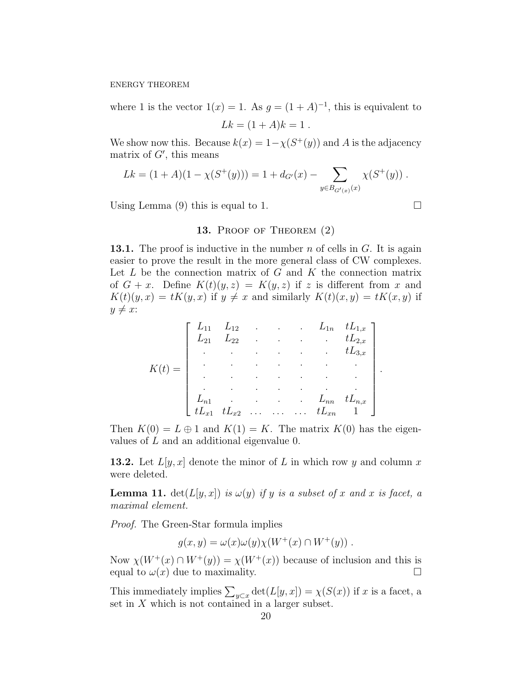where 1 is the vector  $1(x) = 1$ . As  $g = (1 + A)^{-1}$ , this is equivalent to

$$
Lk = (1 + A)k = 1.
$$

We show now this. Because  $k(x) = 1 - \chi(S^+(y))$  and A is the adjacency matrix of  $G'$ , this means

$$
Lk = (1 + A)(1 - \chi(S^+(y))) = 1 + d_{G'}(x) - \sum_{y \in B_{G'(x)}(x)} \chi(S^+(y)) .
$$

Using Lemma (9) this is equal to 1.  $\Box$ 

## 13. PROOF OF THEOREM  $(2)$

**13.1.** The proof is inductive in the number n of cells in  $G$ . It is again easier to prove the result in the more general class of CW complexes. Let  $L$  be the connection matrix of  $G$  and  $K$  the connection matrix of  $G + x$ . Define  $K(t)(y, z) = K(y, z)$  if z is different from x and  $K(t)(y, x) = tK(y, x)$  if  $y \neq x$  and similarly  $K(t)(x, y) = tK(x, y)$  if  $y \neq x$ :

|                                                                                                                                                                                                                                                                                                                                   |                               |               |                                         |                            | $\begin{bmatrix} L_{11} & L_{12} & . & . & . & L_{1n} & tL_{1,x} \ L_{21} & L_{22} & . & . & . & . & tL_{2,x} \ . & . & . & . & . & tL_{3,x} \end{bmatrix}$ |
|-----------------------------------------------------------------------------------------------------------------------------------------------------------------------------------------------------------------------------------------------------------------------------------------------------------------------------------|-------------------------------|---------------|-----------------------------------------|----------------------------|-------------------------------------------------------------------------------------------------------------------------------------------------------------|
| $\left\{ \begin{array}{ccc} 0 & 0 & 0 & 0 \\ 0 & 0 & 0 & 0 \\ 0 & 0 & 0 & 0 \\ 0 & 0 & 0 & 0 \\ 0 & 0 & 0 & 0 \\ 0 & 0 & 0 & 0 \\ 0 & 0 & 0 & 0 \\ 0 & 0 & 0 & 0 \\ 0 & 0 & 0 & 0 \\ 0 & 0 & 0 & 0 \\ 0 & 0 & 0 & 0 & 0 \\ 0 & 0 & 0 & 0 & 0 \\ 0 & 0 & 0 & 0 & 0 \\ 0 & 0 & 0 & 0 & 0 \\ 0 & 0 & 0 & 0 & 0 \\ 0 & 0 & 0 & 0 & 0$ |                               |               | and the state of the                    | $\sim 10^{-11}$ .          |                                                                                                                                                             |
|                                                                                                                                                                                                                                                                                                                                   |                               | $\mathcal{L}$ | $\mathcal{L}^{\text{max}}_{\text{max}}$ | $\bullet$                  |                                                                                                                                                             |
|                                                                                                                                                                                                                                                                                                                                   |                               |               |                                         |                            |                                                                                                                                                             |
|                                                                                                                                                                                                                                                                                                                                   |                               |               |                                         | $\cdots$ $\cdots$ $\cdots$ | $tL_{n,x}$                                                                                                                                                  |
|                                                                                                                                                                                                                                                                                                                                   | $tL_{x1}$ $tL_{x2}$ $tL_{xn}$ |               |                                         |                            |                                                                                                                                                             |

Then  $K(0) = L \oplus 1$  and  $K(1) = K$ . The matrix  $K(0)$  has the eigenvalues of L and an additional eigenvalue 0.

**13.2.** Let  $L[y, x]$  denote the minor of L in which row y and column x were deleted.

**Lemma 11.** det( $L[y, x]$ ) is  $\omega(y)$  if y is a subset of x and x is facet, a maximal element.

Proof. The Green-Star formula implies

 $q(x, y) = \omega(x)\omega(y)\chi(W^+(x) \cap W^+(y))$ .

Now  $\chi(W^+(x) \cap W^+(y)) = \chi(W^+(x))$  because of inclusion and this is equal to  $\omega(x)$  due to maximality.

This immediately implies  $\sum_{y\subset x} \det(L[y, x]) = \chi(S(x))$  if x is a facet, a set in  $X$  which is not contained in a larger subset.

.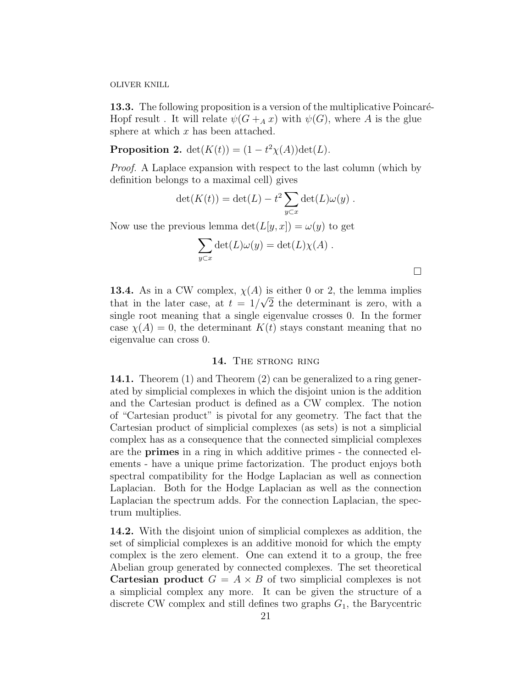13.3. The following proposition is a version of the multiplicative Poincaré-Hopf result. It will relate  $\psi(G +_{A} x)$  with  $\psi(G)$ , where A is the glue sphere at which  $x$  has been attached.

**Proposition 2.**  $det(K(t)) = (1 - t^2 \chi(A)) det(L)$ .

Proof. A Laplace expansion with respect to the last column (which by definition belongs to a maximal cell) gives

$$
\det(K(t)) = \det(L) - t^2 \sum_{y \subset x} \det(L)\omega(y) .
$$

Now use the previous lemma  $\det(L[y, x]) = \omega(y)$  to get

$$
\sum_{y \subset x} \det(L)\omega(y) = \det(L)\chi(A) .
$$

 $\Box$ 

**13.4.** As in a CW complex,  $\chi(A)$  is either 0 or 2, the lemma implies that in the later case, at  $t = 1/\sqrt{2}$  the determinant is zero, with a single root meaning that a single eigenvalue crosses 0. In the former case  $\chi(A) = 0$ , the determinant  $K(t)$  stays constant meaning that no eigenvalue can cross 0.

# 14. THE STRONG RING

14.1. Theorem (1) and Theorem (2) can be generalized to a ring generated by simplicial complexes in which the disjoint union is the addition and the Cartesian product is defined as a CW complex. The notion of "Cartesian product" is pivotal for any geometry. The fact that the Cartesian product of simplicial complexes (as sets) is not a simplicial complex has as a consequence that the connected simplicial complexes are the primes in a ring in which additive primes - the connected elements - have a unique prime factorization. The product enjoys both spectral compatibility for the Hodge Laplacian as well as connection Laplacian. Both for the Hodge Laplacian as well as the connection Laplacian the spectrum adds. For the connection Laplacian, the spectrum multiplies.

14.2. With the disjoint union of simplicial complexes as addition, the set of simplicial complexes is an additive monoid for which the empty complex is the zero element. One can extend it to a group, the free Abelian group generated by connected complexes. The set theoretical **Cartesian product**  $G = A \times B$  of two simplicial complexes is not a simplicial complex any more. It can be given the structure of a discrete CW complex and still defines two graphs  $G_1$ , the Barycentric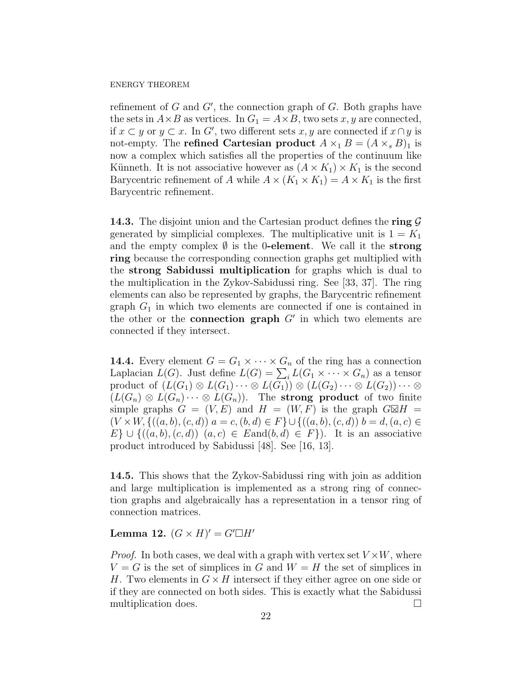refinement of  $G$  and  $G'$ , the connection graph of  $G$ . Both graphs have the sets in  $A \times B$  as vertices. In  $G_1 = A \times B$ , two sets x, y are connected, if  $x \subset y$  or  $y \subset x$ . In G', two different sets  $x, y$  are connected if  $x \cap y$  is not-empty. The **refined Cartesian product**  $A \times_1 B = (A \times_s B)_1$  is now a complex which satisfies all the properties of the continuum like Künneth. It is not associative however as  $(A \times K_1) \times K_1$  is the second Barycentric refinement of A while  $A \times (K_1 \times K_1) = A \times K_1$  is the first Barycentric refinement.

**14.3.** The disjoint union and the Cartesian product defines the ring  $\mathcal{G}$ generated by simplicial complexes. The multiplicative unit is  $1 = K_1$ and the empty complex  $\emptyset$  is the 0-element. We call it the strong ring because the corresponding connection graphs get multiplied with the strong Sabidussi multiplication for graphs which is dual to the multiplication in the Zykov-Sabidussi ring. See [33, 37]. The ring elements can also be represented by graphs, the Barycentric refinement graph  $G_1$  in which two elements are connected if one is contained in the other or the **connection graph**  $G'$  in which two elements are connected if they intersect.

**14.4.** Every element  $G = G_1 \times \cdots \times G_n$  of the ring has a connection Laplacian  $L(G)$ . Just define  $L(G) = \sum_i L(G_1 \times \cdots \times G_n)$  as a tensor product of  $(L(G_1) \otimes L(G_1) \cdots \otimes L(G_1)) \otimes (L(G_2) \cdots \otimes L(G_2)) \cdots \otimes$  $(L(G_n) \otimes L(G_n) \cdots \otimes L(G_n))$ . The strong product of two finite simple graphs  $G = (V, E)$  and  $H = (W, F)$  is the graph  $G \boxtimes H =$  $(V \times W, \{((a, b), (c, d)) | a = c, (b, d) \in F\} \cup \{((a, b), (c, d)) | b = d, (a, c) \in$  $E\} \cup \{((a, b), (c, d)) \mid (a, c) \in \mathcal{E} \text{and}(b, d) \in F\}).$  It is an associative product introduced by Sabidussi [48]. See [16, 13].

14.5. This shows that the Zykov-Sabidussi ring with join as addition and large multiplication is implemented as a strong ring of connection graphs and algebraically has a representation in a tensor ring of connection matrices.

Lemma 12.  $(G \times H)' = G' \Box H'$ 

*Proof.* In both cases, we deal with a graph with vertex set  $V \times W$ , where  $V = G$  is the set of simplices in G and  $W = H$  the set of simplices in H. Two elements in  $G \times H$  intersect if they either agree on one side or if they are connected on both sides. This is exactly what the Sabidussi multiplication does.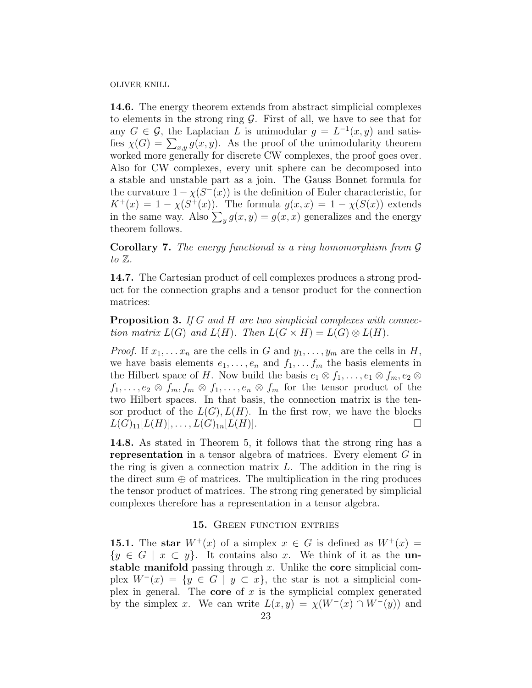14.6. The energy theorem extends from abstract simplicial complexes to elements in the strong ring  $\mathcal G$ . First of all, we have to see that for any  $G \in \mathcal{G}$ , the Laplacian L is unimodular  $g = L^{-1}(x, y)$  and satisfies  $\chi(G) = \sum_{x,y} g(x, y)$ . As the proof of the unimodularity theorem worked more generally for discrete CW complexes, the proof goes over. Also for CW complexes, every unit sphere can be decomposed into a stable and unstable part as a join. The Gauss Bonnet formula for the curvature  $1 - \chi(S^{-}(x))$  is the definition of Euler characteristic, for  $K^+(x) = 1 - \chi(S^+(x))$ . The formula  $g(x, x) = 1 - \chi(S(x))$  extends in the same way. Also  $\sum_{y} g(x, y) = g(x, x)$  generalizes and the energy theorem follows.

**Corollary 7.** The energy functional is a ring homomorphism from  $\mathcal G$ to  $\mathbb{Z}$ .

14.7. The Cartesian product of cell complexes produces a strong product for the connection graphs and a tensor product for the connection matrices:

**Proposition 3.** If G and H are two simplicial complexes with connection matrix  $L(G)$  and  $L(H)$ . Then  $L(G \times H) = L(G) \otimes L(H)$ .

*Proof.* If  $x_1, \ldots, x_n$  are the cells in G and  $y_1, \ldots, y_m$  are the cells in H, we have basis elements  $e_1, \ldots, e_n$  and  $f_1, \ldots, f_m$  the basis elements in the Hilbert space of H. Now build the basis  $e_1 \otimes f_1, \ldots, e_1 \otimes f_m, e_2 \otimes f_m$  $f_1, \ldots, e_2 \otimes f_m, f_m \otimes f_1, \ldots, e_n \otimes f_m$  for the tensor product of the two Hilbert spaces. In that basis, the connection matrix is the tensor product of the  $L(G)$ ,  $L(H)$ . In the first row, we have the blocks  $L(G)_{11}[L(H)], \ldots, L(G)_{1n}[L(H)].$ 

14.8. As stated in Theorem 5, it follows that the strong ring has a representation in a tensor algebra of matrices. Every element G in the ring is given a connection matrix  $L$ . The addition in the ring is the direct sum  $\oplus$  of matrices. The multiplication in the ring produces the tensor product of matrices. The strong ring generated by simplicial complexes therefore has a representation in a tensor algebra.

# 15. GREEN FUNCTION ENTRIES

15.1. The star  $W^+(x)$  of a simplex  $x \in G$  is defined as  $W^+(x) =$  $\{y \in G \mid x \subset y\}.$  It contains also x. We think of it as the unstable manifold passing through  $x$ . Unlike the core simplicial complex  $W^{-}(x) = \{y \in G \mid y \subset x\}$ , the star is not a simplicial complex in general. The **core** of  $x$  is the symplicial complex generated by the simplex x. We can write  $L(x, y) = \chi(W^-(x) \cap W^-(y))$  and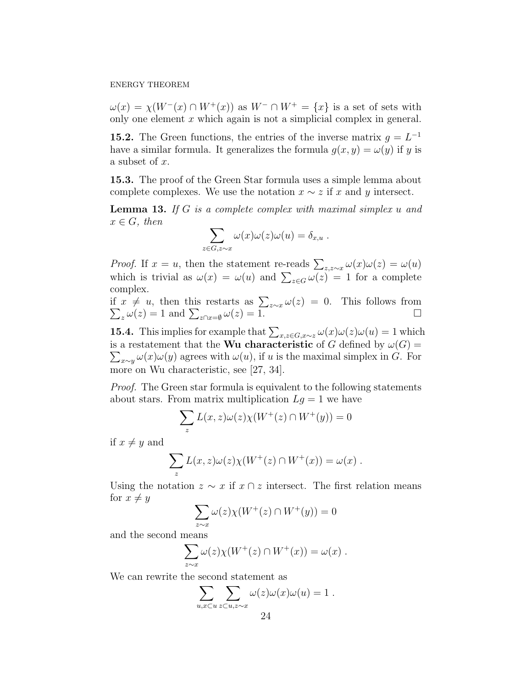$\omega(x) = \chi(W^-(x) \cap W^+(x))$  as  $W^- \cap W^+ = \{x\}$  is a set of sets with only one element  $x$  which again is not a simplicial complex in general.

**15.2.** The Green functions, the entries of the inverse matrix  $g = L^{-1}$ have a similar formula. It generalizes the formula  $q(x, y) = \omega(y)$  if y is a subset of x.

15.3. The proof of the Green Star formula uses a simple lemma about complete complexes. We use the notation  $x \sim z$  if x and y intersect.

**Lemma 13.** If G is a complete complex with maximal simplex  $u$  and  $x \in G$ , then

$$
\sum_{z \in G, z \sim x} \omega(x) \omega(z) \omega(u) = \delta_{x, u} .
$$

*Proof.* If  $x = u$ , then the statement re-reads  $\sum_{z,z\sim x} \omega(x)\omega(z) = \omega(u)$ which is trivial as  $\omega(x) = \omega(u)$  and  $\sum_{z \in G} \omega(z) = 1$  for a complete complex.

if  $x \neq u$ , then this restarts as  $\sum_{z \sim x} \omega(z) = 0$ . This follows from  $\sum_{z} \omega(z) = 1$  and  $\sum_{z \cap x = \emptyset} \omega(z) = 1$ . □

**15.4.** This implies for example that  $\sum_{x,z\in G,x\sim z}\omega(x)\omega(z)\omega(u) = 1$  which is a restatement that the **Wu characteristic** of G defined by  $\omega(G)$  =  $\sum_{x \sim y} \omega(x) \omega(y)$  agrees with  $\omega(u)$ , if u is the maximal simplex in G. For more on Wu characteristic, see [27, 34].

Proof. The Green star formula is equivalent to the following statements about stars. From matrix multiplication  $Lg = 1$  we have

$$
\sum_{z} L(x,z)\omega(z)\chi(W^+(z)\cap W^+(y)) = 0
$$

if  $x \neq y$  and

$$
\sum_z L(x, z)\omega(z)\chi(W^+(z)\cap W^+(x)) = \omega(x) .
$$

Using the notation  $z \sim x$  if  $x \cap z$  intersect. The first relation means for  $x \neq y$ 

$$
\sum_{z \sim x} \omega(z) \chi(W^+(z) \cap W^+(y)) = 0
$$

and the second means

$$
\sum_{z\sim x}\omega(z)\chi(W^+(z)\cap W^+(x))=\omega(x).
$$

We can rewrite the second statement as

$$
\sum_{u,x\subset u}\sum_{z\subset u,z\sim x}\omega(z)\omega(x)\omega(u)=1.
$$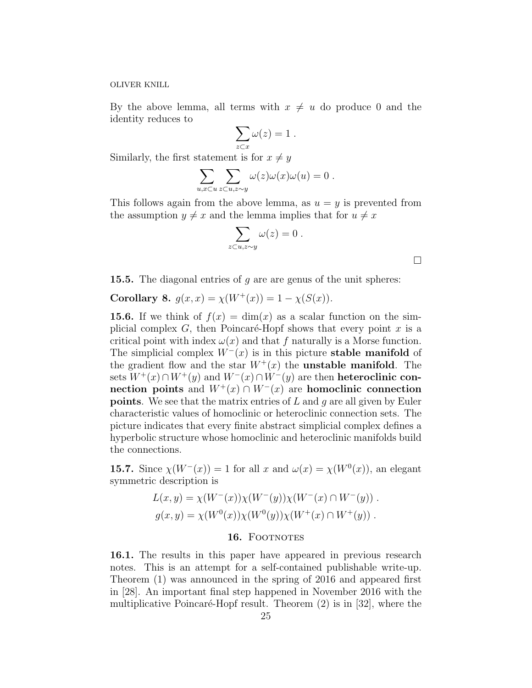By the above lemma, all terms with  $x \neq u$  do produce 0 and the identity reduces to

$$
\sum_{z \subset x} \omega(z) = 1 \; .
$$

Similarly, the first statement is for  $x \neq y$ 

$$
\sum_{u,x\subset u}\sum_{z\subset u,z\sim y}\omega(z)\omega(x)\omega(u)=0.
$$

This follows again from the above lemma, as  $u = y$  is prevented from the assumption  $y \neq x$  and the lemma implies that for  $u \neq x$ 

$$
\sum_{z\subset u,z\sim y}\omega(z)=0.
$$

 $\Box$ 

**15.5.** The diagonal entries of q are are genus of the unit spheres:

Corollary 8.  $g(x, x) = \chi(W^+(x)) = 1 - \chi(S(x)).$ 

**15.6.** If we think of  $f(x) = \dim(x)$  as a scalar function on the simplicial complex  $G$ , then Poincaré-Hopf shows that every point  $x$  is a critical point with index  $\omega(x)$  and that f naturally is a Morse function. The simplicial complex  $W^-(x)$  is in this picture **stable manifold** of the gradient flow and the star  $W^+(x)$  the **unstable manifold**. The sets  $W^+(x) \cap W^+(y)$  and  $W^-(x) \cap W^-(y)$  are then **heteroclinic con**nection points and  $W^+(x) \cap W^-(x)$  are homoclinic connection **points**. We see that the matrix entries of  $L$  and  $q$  are all given by Euler characteristic values of homoclinic or heteroclinic connection sets. The picture indicates that every finite abstract simplicial complex defines a hyperbolic structure whose homoclinic and heteroclinic manifolds build the connections.

**15.7.** Since  $\chi(W^{-}(x)) = 1$  for all x and  $\omega(x) = \chi(W^{0}(x))$ , an elegant symmetric description is

$$
L(x, y) = \chi(W^-(x))\chi(W^-(y))\chi(W^-(x) \cap W^-(y)).
$$
  

$$
g(x, y) = \chi(W^0(x))\chi(W^0(y))\chi(W^+(x) \cap W^+(y)).
$$

### 16. FOOTNOTES

16.1. The results in this paper have appeared in previous research notes. This is an attempt for a self-contained publishable write-up. Theorem (1) was announced in the spring of 2016 and appeared first in [28]. An important final step happened in November 2016 with the multiplicative Poincaré-Hopf result. Theorem  $(2)$  is in [32], where the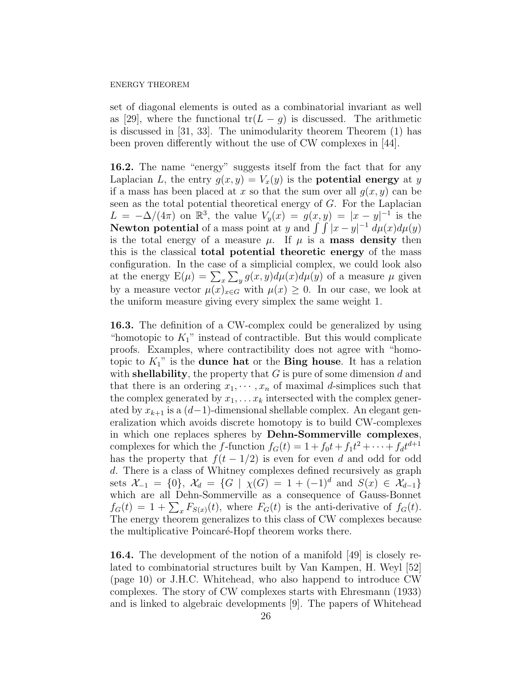set of diagonal elements is outed as a combinatorial invariant as well as [29], where the functional  $tr(L - g)$  is discussed. The arithmetic is discussed in [31, 33]. The unimodularity theorem Theorem (1) has been proven differently without the use of CW complexes in [44].

16.2. The name "energy" suggests itself from the fact that for any Laplacian L, the entry  $g(x, y) = V_x(y)$  is the **potential energy** at y if a mass has been placed at x so that the sum over all  $g(x, y)$  can be seen as the total potential theoretical energy of G. For the Laplacian  $L = -\Delta/(4\pi)$  on  $\mathbb{R}^3$ , the value  $V_y(x) = g(x, y) = |x - y|^{-1}$  is the **Newton potential** of a mass point at y and  $\int \int |x - y|^{-1} d\mu(x) d\mu(y)$ is the total energy of a measure  $\mu$ . If  $\mu$  is a **mass density** then this is the classical total potential theoretic energy of the mass configuration. In the case of a simplicial complex, we could look also at the energy  $E(\mu) = \sum_x \sum_y g(x, y) d\mu(x) d\mu(y)$  of a measure  $\mu$  given by a measure vector  $\mu(x)_{x\in G}$  with  $\mu(x) \geq 0$ . In our case, we look at the uniform measure giving every simplex the same weight 1.

16.3. The definition of a CW-complex could be generalized by using "homotopic to  $K_1$ " instead of contractible. But this would complicate proofs. Examples, where contractibility does not agree with "homotopic to  $K_1$ " is the **dunce hat** or the **Bing house**. It has a relation with **shellability**, the property that  $G$  is pure of some dimension  $d$  and that there is an ordering  $x_1, \dots, x_n$  of maximal d-simplices such that the complex generated by  $x_1, \ldots x_k$  intersected with the complex generated by  $x_{k+1}$  is a  $(d-1)$ -dimensional shellable complex. An elegant generalization which avoids discrete homotopy is to build CW-complexes in which one replaces spheres by Dehn-Sommerville complexes, complexes for which the f-function  $f_G(t) = 1 + f_0 t + f_1 t^2 + \cdots + f_d t^{d+1}$ has the property that  $f(t - 1/2)$  is even for even d and odd for odd d. There is a class of Whitney complexes defined recursively as graph sets  $\mathcal{X}_{-1} = \{0\}, \ \mathcal{X}_d = \{G \mid \chi(G) = 1 + (-1)^d \text{ and } S(x) \in \mathcal{X}_{d-1}\}\$ which are all Dehn-Sommerville as a consequence of Gauss-Bonnet  $f_G(t) = 1 + \sum_x F_{S(x)}(t)$ , where  $F_G(t)$  is the anti-derivative of  $f_G(t)$ . The energy theorem generalizes to this class of CW complexes because the multiplicative Poincaré-Hopf theorem works there.

16.4. The development of the notion of a manifold [49] is closely related to combinatorial structures built by Van Kampen, H. Weyl [52] (page 10) or J.H.C. Whitehead, who also happend to introduce CW complexes. The story of CW complexes starts with Ehresmann (1933) and is linked to algebraic developments [9]. The papers of Whitehead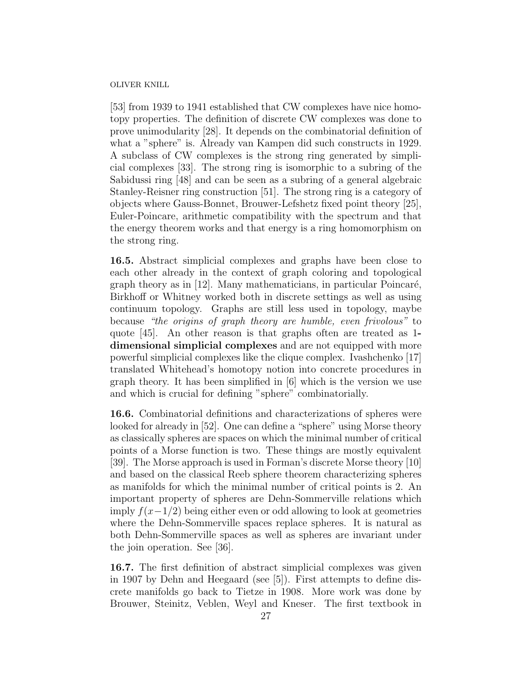[53] from 1939 to 1941 established that CW complexes have nice homotopy properties. The definition of discrete CW complexes was done to prove unimodularity [28]. It depends on the combinatorial definition of what a "sphere" is. Already van Kampen did such constructs in 1929. A subclass of CW complexes is the strong ring generated by simplicial complexes [33]. The strong ring is isomorphic to a subring of the Sabidussi ring [48] and can be seen as a subring of a general algebraic Stanley-Reisner ring construction [51]. The strong ring is a category of objects where Gauss-Bonnet, Brouwer-Lefshetz fixed point theory [25], Euler-Poincare, arithmetic compatibility with the spectrum and that the energy theorem works and that energy is a ring homomorphism on the strong ring.

16.5. Abstract simplicial complexes and graphs have been close to each other already in the context of graph coloring and topological graph theory as in  $[12]$ . Many mathematicians, in particular Poincaré, Birkhoff or Whitney worked both in discrete settings as well as using continuum topology. Graphs are still less used in topology, maybe because "the origins of graph theory are humble, even frivolous" to quote [45]. An other reason is that graphs often are treated as 1 dimensional simplicial complexes and are not equipped with more powerful simplicial complexes like the clique complex. Ivashchenko [17] translated Whitehead's homotopy notion into concrete procedures in graph theory. It has been simplified in [6] which is the version we use and which is crucial for defining "sphere" combinatorially.

16.6. Combinatorial definitions and characterizations of spheres were looked for already in [52]. One can define a "sphere" using Morse theory as classically spheres are spaces on which the minimal number of critical points of a Morse function is two. These things are mostly equivalent [39]. The Morse approach is used in Forman's discrete Morse theory [10] and based on the classical Reeb sphere theorem characterizing spheres as manifolds for which the minimal number of critical points is 2. An important property of spheres are Dehn-Sommerville relations which imply  $f(x-1/2)$  being either even or odd allowing to look at geometries where the Dehn-Sommerville spaces replace spheres. It is natural as both Dehn-Sommerville spaces as well as spheres are invariant under the join operation. See [36].

16.7. The first definition of abstract simplicial complexes was given in 1907 by Dehn and Heegaard (see [5]). First attempts to define discrete manifolds go back to Tietze in 1908. More work was done by Brouwer, Steinitz, Veblen, Weyl and Kneser. The first textbook in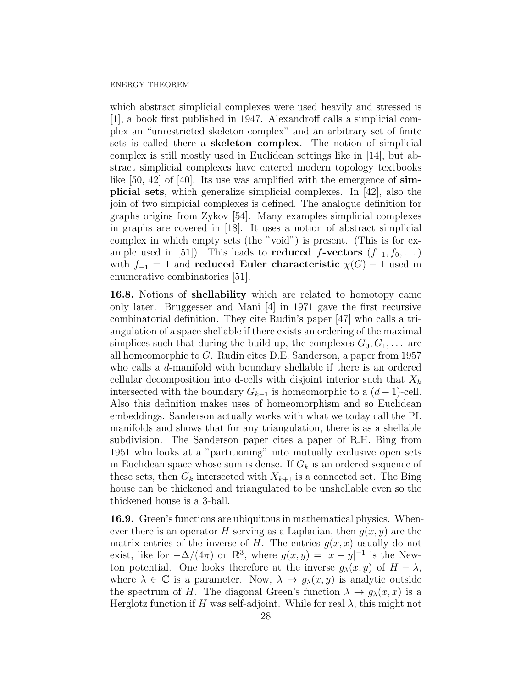which abstract simplicial complexes were used heavily and stressed is [1], a book first published in 1947. Alexandroff calls a simplicial complex an "unrestricted skeleton complex" and an arbitrary set of finite sets is called there a skeleton complex. The notion of simplicial complex is still mostly used in Euclidean settings like in [14], but abstract simplicial complexes have entered modern topology textbooks like  $[50, 42]$  of  $[40]$ . Its use was amplified with the emergence of simplicial sets, which generalize simplicial complexes. In [42], also the join of two simpicial complexes is defined. The analogue definition for graphs origins from Zykov [54]. Many examples simplicial complexes in graphs are covered in [18]. It uses a notion of abstract simplicial complex in which empty sets (the "void") is present. (This is for example used in [51]). This leads to **reduced f-vectors**  $(f_{-1}, f_0, \dots)$ with  $f_{-1} = 1$  and reduced Euler characteristic  $\chi(G) - 1$  used in enumerative combinatorics [51].

16.8. Notions of shellability which are related to homotopy came only later. Bruggesser and Mani [4] in 1971 gave the first recursive combinatorial definition. They cite Rudin's paper [47] who calls a triangulation of a space shellable if there exists an ordering of the maximal simplices such that during the build up, the complexes  $G_0, G_1, \ldots$  are all homeomorphic to G. Rudin cites D.E. Sanderson, a paper from 1957 who calls a d-manifold with boundary shellable if there is an ordered cellular decomposition into d-cells with disjoint interior such that  $X_k$ intersected with the boundary  $G_{k-1}$  is homeomorphic to a  $(d-1)$ -cell. Also this definition makes uses of homeomorphism and so Euclidean embeddings. Sanderson actually works with what we today call the PL manifolds and shows that for any triangulation, there is as a shellable subdivision. The Sanderson paper cites a paper of R.H. Bing from 1951 who looks at a "partitioning" into mutually exclusive open sets in Euclidean space whose sum is dense. If  $G_k$  is an ordered sequence of these sets, then  $G_k$  intersected with  $X_{k+1}$  is a connected set. The Bing house can be thickened and triangulated to be unshellable even so the thickened house is a 3-ball.

16.9. Green's functions are ubiquitous in mathematical physics. Whenever there is an operator H serving as a Laplacian, then  $g(x, y)$  are the matrix entries of the inverse of H. The entries  $g(x, x)$  usually do not exist, like for  $-\Delta/(4\pi)$  on  $\mathbb{R}^3$ , where  $g(x, y) = |x - y|^{-1}$  is the Newton potential. One looks therefore at the inverse  $g_{\lambda}(x, y)$  of  $H - \lambda$ , where  $\lambda \in \mathbb{C}$  is a parameter. Now,  $\lambda \to g_{\lambda}(x, y)$  is analytic outside the spectrum of H. The diagonal Green's function  $\lambda \to g_{\lambda}(x, x)$  is a Herglotz function if H was self-adjoint. While for real  $\lambda$ , this might not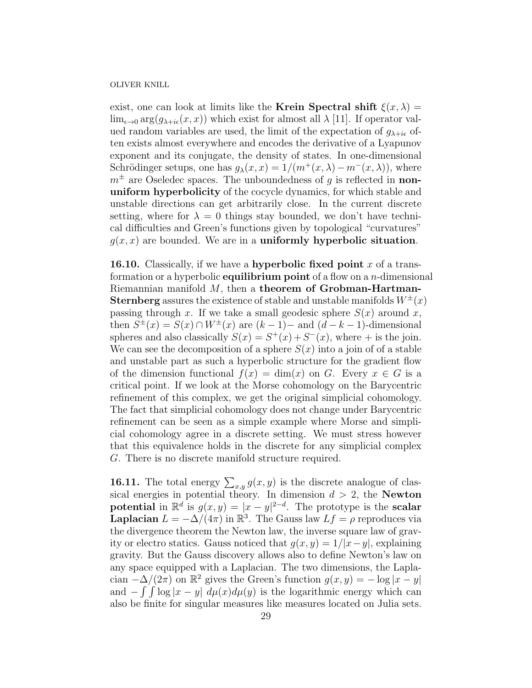exist, one can look at limits like the Krein Spectral shift  $\xi(x, \lambda) =$  $\lim_{\epsilon \to 0} \arg(q_{\lambda + i\epsilon}(x, x))$  which exist for almost all  $\lambda$  [11]. If operator valued random variables are used, the limit of the expectation of  $g_{\lambda+i\epsilon}$  often exists almost everywhere and encodes the derivative of a Lyapunov exponent and its conjugate, the density of states. In one-dimensional Schrödinger setups, one has  $g_{\lambda}(x, x) = 1/(m^+(x, \lambda) - m^-(x, \lambda))$ , where  $m^{\pm}$  are Oseledec spaces. The unboundedness of g is reflected in nonuniform hyperbolicity of the cocycle dynamics, for which stable and unstable directions can get arbitrarily close. In the current discrete setting, where for  $\lambda = 0$  things stay bounded, we don't have technical difficulties and Green's functions given by topological "curvatures"  $q(x, x)$  are bounded. We are in a **uniformly hyperbolic situation**.

16.10. Classically, if we have a hyperbolic fixed point x of a transformation or a hyperbolic **equilibrium point** of a flow on a  $n$ -dimensional Riemannian manifold  $M$ , then a theorem of Grobman-Hartman-**Sternberg** assures the existence of stable and unstable manifolds  $W^{\pm}(x)$ passing through x. If we take a small geodesic sphere  $S(x)$  around x, then  $S^{\pm}(x) = S(x) \cap W^{\pm}(x)$  are  $(k-1)$ - and  $(d-k-1)$ -dimensional spheres and also classically  $S(x) = S^{+}(x) + S^{-}(x)$ , where + is the join. We can see the decomposition of a sphere  $S(x)$  into a join of of a stable and unstable part as such a hyperbolic structure for the gradient flow of the dimension functional  $f(x) = \dim(x)$  on G. Every  $x \in G$  is a critical point. If we look at the Morse cohomology on the Barycentric refinement of this complex, we get the original simplicial cohomology. The fact that simplicial cohomology does not change under Barycentric refinement can be seen as a simple example where Morse and simplicial cohomology agree in a discrete setting. We must stress however that this equivalence holds in the discrete for any simplicial complex G. There is no discrete manifold structure required.

**16.11.** The total energy  $\sum_{x,y} g(x, y)$  is the discrete analogue of classical energies in potential theory. In dimension  $d > 2$ , the Newton potential in  $\mathbb{R}^d$  is  $g(x, y) = |x - y|^{2-d}$ . The prototype is the scalar **Laplacian**  $L = -\Delta/(4\pi)$  in  $\mathbb{R}^3$ . The Gauss law  $Lf = \rho$  reproduces via the divergence theorem the Newton law, the inverse square law of gravity or electro statics. Gauss noticed that  $g(x, y) = 1/|x-y|$ , explaining gravity. But the Gauss discovery allows also to define Newton's law on any space equipped with a Laplacian. The two dimensions, the Laplacian  $-\Delta/(2\pi)$  on  $\mathbb{R}^2$  gives the Green's function  $g(x, y) = -\log|x - y|$ and  $-\int \int \log |x-y| d\mu(x) d\mu(y)$  is the logarithmic energy which can also be finite for singular measures like measures located on Julia sets.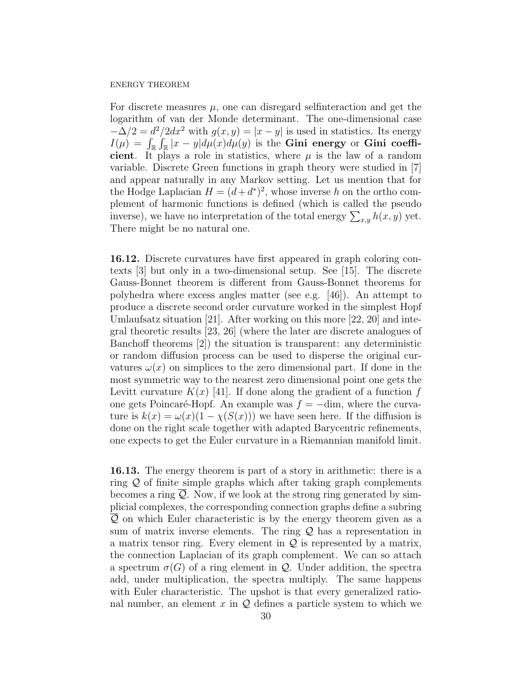For discrete measures  $\mu$ , one can disregard selfinteraction and get the logarithm of van der Monde determinant. The one-dimensional case  $-\Delta/2 = d^2/2dx^2$  with  $g(x, y) = |x - y|$  is used in statistics. Its energy  $I(\mu) = \int_{\mathbb{R}} \int_{\mathbb{R}} |x - y| d\mu(x) d\mu(y)$  is the Gini energy or Gini coefficient. It plays a role in statistics, where  $\mu$  is the law of a random variable. Discrete Green functions in graph theory were studied in [7] and appear naturally in any Markov setting. Let us mention that for the Hodge Laplacian  $H = (d + d^*)^2$ , whose inverse h on the ortho complement of harmonic functions is defined (which is called the pseudo inverse), we have no interpretation of the total energy  $\sum_{x,y} h(x, y)$  yet. There might be no natural one.

16.12. Discrete curvatures have first appeared in graph coloring contexts [3] but only in a two-dimensional setup. See [15]. The discrete Gauss-Bonnet theorem is different from Gauss-Bonnet theorems for polyhedra where excess angles matter (see e.g. [46]). An attempt to produce a discrete second order curvature worked in the simplest Hopf Umlaufsatz situation [21]. After working on this more [22, 20] and integral theoretic results [23, 26] (where the later are discrete analogues of Banchoff theorems [2]) the situation is transparent: any deterministic or random diffusion process can be used to disperse the original curvatures  $\omega(x)$  on simplices to the zero dimensional part. If done in the most symmetric way to the nearest zero dimensional point one gets the Levitt curvature  $K(x)$  [41]. If done along the gradient of a function f one gets Poincaré-Hopf. An example was  $f = -\text{dim}$ , where the curvature is  $k(x) = \omega(x)(1 - \chi(S(x)))$  we have seen here. If the diffusion is done on the right scale together with adapted Barycentric refinements, one expects to get the Euler curvature in a Riemannian manifold limit.

16.13. The energy theorem is part of a story in arithmetic: there is a ring  $Q$  of finite simple graphs which after taking graph complements becomes a ring  $Q$ . Now, if we look at the strong ring generated by simplicial complexes, the corresponding connection graphs define a subring Q on which Euler characteristic is by the energy theorem given as a sum of matrix inverse elements. The ring  $Q$  has a representation in a matrix tensor ring. Every element in  $\mathcal Q$  is represented by a matrix, the connection Laplacian of its graph complement. We can so attach a spectrum  $\sigma(G)$  of a ring element in Q. Under addition, the spectra add, under multiplication, the spectra multiply. The same happens with Euler characteristic. The upshot is that every generalized rational number, an element x in  $Q$  defines a particle system to which we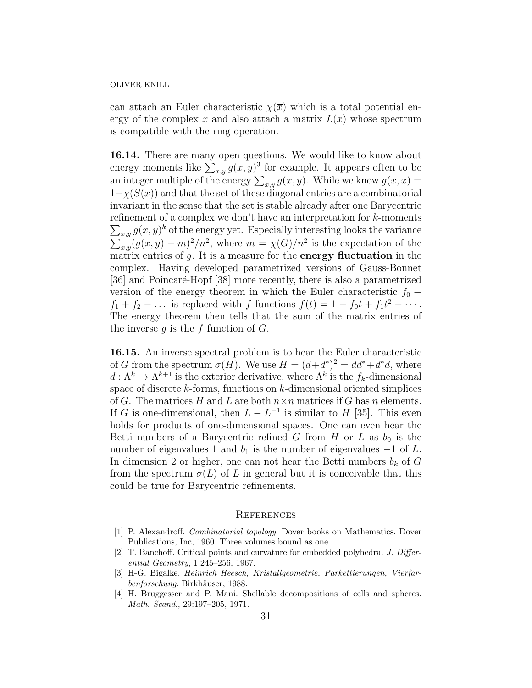can attach an Euler characteristic  $\chi(\overline{x})$  which is a total potential energy of the complex  $\bar{x}$  and also attach a matrix  $L(x)$  whose spectrum is compatible with the ring operation.

16.14. There are many open questions. We would like to know about energy moments like  $\sum_{x,y} g(x, y)^3$  for example. It appears often to be an integer multiple of the energy  $\sum_{x,y} g(x, y)$ . While we know  $g(x, x) =$  $1-\chi(S(x))$  and that the set of these diagonal entries are a combinatorial invariant in the sense that the set is stable already after one Barycentric refinement of a complex we don't have an interpretation for k-moments  $\sum_{x,y} g(x,y)^k$  of the energy yet. Especially interesting looks the variance  $\sum_{x,y}(g(x,y)-m)^2/n^2$ , where  $m=\chi(G)/n^2$  is the expectation of the matrix entries of  $q$ . It is a measure for the **energy fluctuation** in the complex. Having developed parametrized versions of Gauss-Bonnet [36] and Poincaré-Hopf [38] more recently, there is also a parametrized version of the energy theorem in which the Euler characteristic  $f_0$  −  $f_1 + f_2 - \ldots$  is replaced with f-functions  $f(t) = 1 - f_0 t + f_1 t^2 - \cdots$ . The energy theorem then tells that the sum of the matrix entries of the inverse  $q$  is the  $f$  function of  $G$ .

16.15. An inverse spectral problem is to hear the Euler characteristic of G from the spectrum  $\sigma(H)$ . We use  $H = (d+d^*)^2 = dd^* + d^*d$ , where  $d: \Lambda^k \to \Lambda^{k+1}$  is the exterior derivative, where  $\Lambda^k$  is the  $f_k$ -dimensional space of discrete k-forms, functions on k-dimensional oriented simplices of G. The matrices H and L are both  $n \times n$  matrices if G has n elements. If G is one-dimensional, then  $L - L^{-1}$  is similar to H [35]. This even holds for products of one-dimensional spaces. One can even hear the Betti numbers of a Barycentric refined G from H or L as  $b_0$  is the number of eigenvalues 1 and  $b_1$  is the number of eigenvalues  $-1$  of L. In dimension 2 or higher, one can not hear the Betti numbers  $b_k$  of G from the spectrum  $\sigma(L)$  of L in general but it is conceivable that this could be true for Barycentric refinements.

#### **REFERENCES**

- [1] P. Alexandroff. Combinatorial topology. Dover books on Mathematics. Dover Publications, Inc, 1960. Three volumes bound as one.
- [2] T. Banchoff. Critical points and curvature for embedded polyhedra. J. Differential Geometry, 1:245–256, 1967.
- [3] H-G. Bigalke. Heinrich Heesch, Kristallgeometrie, Parkettierungen, Vierfarbenforschung. Birkhäuser, 1988.
- [4] H. Bruggesser and P. Mani. Shellable decompositions of cells and spheres. Math. Scand., 29:197–205, 1971.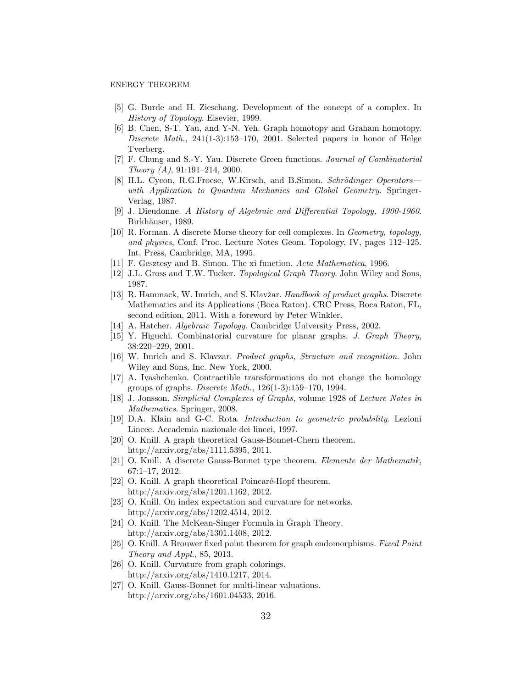- [5] G. Burde and H. Zieschang. Development of the concept of a complex. In History of Topology. Elsevier, 1999.
- [6] B. Chen, S-T. Yau, and Y-N. Yeh. Graph homotopy and Graham homotopy. Discrete Math., 241(1-3):153–170, 2001. Selected papers in honor of Helge Tverberg.
- [7] F. Chung and S.-Y. Yau. Discrete Green functions. Journal of Combinatorial Theory  $(A)$ , 91:191-214, 2000.
- [8] H.L. Cycon, R.G.Froese, W.Kirsch, and B.Simon. Schrödinger Operators with Application to Quantum Mechanics and Global Geometry. Springer-Verlag, 1987.
- [9] J. Dieudonne. A History of Algebraic and Differential Topology, 1900-1960. Birkhäuser, 1989.
- [10] R. Forman. A discrete Morse theory for cell complexes. In Geometry, topology, and physics, Conf. Proc. Lecture Notes Geom. Topology, IV, pages 112–125. Int. Press, Cambridge, MA, 1995.
- [11] F. Gesztesy and B. Simon. The xi function. Acta Mathematica, 1996.
- [12] J.L. Gross and T.W. Tucker. Topological Graph Theory. John Wiley and Sons, 1987.
- [13] R. Hammack, W. Imrich, and S. Klavžar. *Handbook of product graphs*. Discrete Mathematics and its Applications (Boca Raton). CRC Press, Boca Raton, FL, second edition, 2011. With a foreword by Peter Winkler.
- [14] A. Hatcher. *Algebraic Topology*. Cambridge University Press, 2002.
- [15] Y. Higuchi. Combinatorial curvature for planar graphs. J. Graph Theory, 38:220–229, 2001.
- [16] W. Imrich and S. Klavzar. Product graphs, Structure and recognition. John Wiley and Sons, Inc. New York, 2000.
- [17] A. Ivashchenko. Contractible transformations do not change the homology groups of graphs. Discrete Math., 126(1-3):159–170, 1994.
- [18] J. Jonsson. Simplicial Complexes of Graphs, volume 1928 of Lecture Notes in Mathematics. Springer, 2008.
- [19] D.A. Klain and G-C. Rota. Introduction to geometric probability. Lezioni Lincee. Accademia nazionale dei lincei, 1997.
- [20] O. Knill. A graph theoretical Gauss-Bonnet-Chern theorem. http://arxiv.org/abs/1111.5395, 2011.
- [21] O. Knill. A discrete Gauss-Bonnet type theorem. Elemente der Mathematik, 67:1–17, 2012.
- [22] O. Knill. A graph theoretical Poincaré-Hopf theorem. http://arxiv.org/abs/1201.1162, 2012.
- [23] O. Knill. On index expectation and curvature for networks. http://arxiv.org/abs/1202.4514, 2012.
- [24] O. Knill. The McKean-Singer Formula in Graph Theory. http://arxiv.org/abs/1301.1408, 2012.
- [25] O. Knill. A Brouwer fixed point theorem for graph endomorphisms. Fixed Point Theory and Appl., 85, 2013.
- [26] O. Knill. Curvature from graph colorings. http://arxiv.org/abs/1410.1217, 2014.
- [27] O. Knill. Gauss-Bonnet for multi-linear valuations. http://arxiv.org/abs/1601.04533, 2016.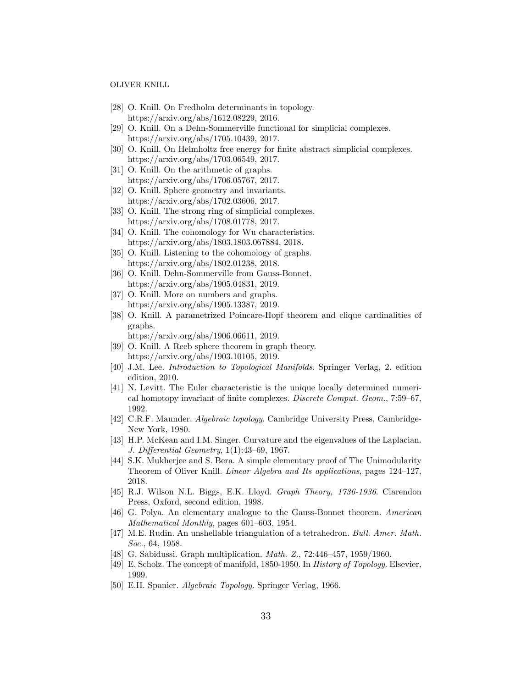- [28] O. Knill. On Fredholm determinants in topology. https://arxiv.org/abs/1612.08229, 2016.
- [29] O. Knill. On a Dehn-Sommerville functional for simplicial complexes. https://arxiv.org/abs/1705.10439, 2017.
- [30] O. Knill. On Helmholtz free energy for finite abstract simplicial complexes. https://arxiv.org/abs/1703.06549, 2017.
- [31] O. Knill. On the arithmetic of graphs. https://arxiv.org/abs/1706.05767, 2017.
- [32] O. Knill. Sphere geometry and invariants. https://arxiv.org/abs/1702.03606, 2017.
- [33] O. Knill. The strong ring of simplicial complexes. https://arxiv.org/abs/1708.01778, 2017.
- [34] O. Knill. The cohomology for Wu characteristics. https://arxiv.org/abs/1803.1803.067884, 2018.
- [35] O. Knill. Listening to the cohomology of graphs. https://arxiv.org/abs/1802.01238, 2018.
- [36] O. Knill. Dehn-Sommerville from Gauss-Bonnet. https://arxiv.org/abs/1905.04831, 2019.
- [37] O. Knill. More on numbers and graphs. https://arxiv.org/abs/1905.13387, 2019.
- [38] O. Knill. A parametrized Poincare-Hopf theorem and clique cardinalities of graphs.

https://arxiv.org/abs/1906.06611, 2019.

- [39] O. Knill. A Reeb sphere theorem in graph theory. https://arxiv.org/abs/1903.10105, 2019.
- [40] J.M. Lee. Introduction to Topological Manifolds. Springer Verlag, 2. edition edition, 2010.
- [41] N. Levitt. The Euler characteristic is the unique locally determined numerical homotopy invariant of finite complexes. Discrete Comput. Geom., 7:59–67, 1992.
- [42] C.R.F. Maunder. Algebraic topology. Cambridge University Press, Cambridge-New York, 1980.
- [43] H.P. McKean and I.M. Singer. Curvature and the eigenvalues of the Laplacian. J. Differential Geometry, 1(1):43–69, 1967.
- [44] S.K. Mukherjee and S. Bera. A simple elementary proof of The Unimodularity Theorem of Oliver Knill. Linear Algebra and Its applications, pages 124–127, 2018.
- [45] R.J. Wilson N.L. Biggs, E.K. Lloyd. Graph Theory, 1736-1936. Clarendon Press, Oxford, second edition, 1998.
- [46] G. Polya. An elementary analogue to the Gauss-Bonnet theorem. American Mathematical Monthly, pages 601–603, 1954.
- [47] M.E. Rudin. An unshellable triangulation of a tetrahedron. Bull. Amer. Math. Soc., 64, 1958.
- [48] G. Sabidussi. Graph multiplication. Math. Z., 72:446–457, 1959/1960.
- [49] E. Scholz. The concept of manifold, 1850-1950. In History of Topology. Elsevier, 1999.
- [50] E.H. Spanier. Algebraic Topology. Springer Verlag, 1966.